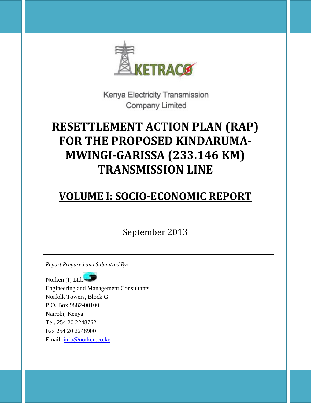

Kenya Electricity Transmission **Company Limited** 

# **RESETTLEMENT ACTION PLAN (RAP) FOR THE PROPOSED KINDARUMA‐ MWINGI‐GARISSA (233.146 KM) TRANSMISSION LINE**

# **VOLUME I: SOCIO‐ECONOMIC REPORT**

September 2013

*Report Prepared and Submitted By:*

Norken (I) Ltd. Engineering and Management Consultants Norfolk Towers, Block G P.O. Box 9882-00100 Nairobi, Kenya Tel. 254 20 2248762 Fax 254 20 2248900 Email: info@norken.co.ke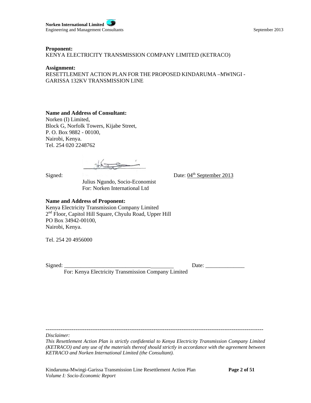**Norken International Limited** Engineering and Management Consultants September 2013

#### **Proponent:**

KENYA ELECTRICITY TRANSMISSION COMPANY LIMITED (KETRACO)

#### **Assignment:**

RESETTLEMENT ACTION PLAN FOR THE PROPOSED KINDARUMA –MWINGI - GARISSA 132KV TRANSMISSION LINE

#### **Name and Address of Consultant:**

Norken (I) Limited, Block G, Norfolk Towers, Kijabe Street, P. O. Box 9882 - 00100, Nairobi, Kenya. Tel. 254 020 2248762

Signed: Date: 04<sup>th</sup> September 2013

 Julius Ngundo, Socio-Economist For: Norken International Ltd

#### **Name and Address of Proponent:**

Kenya Electricity Transmission Company Limited 2<sup>nd</sup> Floor, Capitol Hill Square, Chyulu Road, Upper Hill PO Box 34942-00100, Nairobi, Kenya.

Tel. 254 20 4956000

Signed: \_\_\_\_\_\_\_\_\_\_\_\_\_\_\_\_\_\_\_\_\_\_\_\_\_\_\_\_\_\_\_ Date: \_\_\_\_\_\_\_\_\_\_\_\_\_\_

For: Kenya Electricity Transmission Company Limited

---------------------------------------------------------------------------------------------------------------------

*Disclaimer:*

*This Resettlement Action Plan is strictly confidential to Kenya Electricity Transmission Company Limited (KETRACO) and any use of the materials thereof should strictly in accordance with the agreement between KETRACO and Norken International Limited (the Consultant).*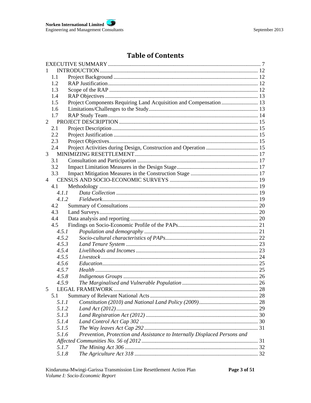# **Table of Contents**

| 1.1   |                                                                           |  |
|-------|---------------------------------------------------------------------------|--|
| 1.2   |                                                                           |  |
| 1.3   |                                                                           |  |
| 1.4   |                                                                           |  |
| 1.5   | Project Components Requiring Land Acquisition and Compensation  13        |  |
| 1.6   |                                                                           |  |
| 1.7   |                                                                           |  |
|       |                                                                           |  |
| 2.1   |                                                                           |  |
| 2.2   |                                                                           |  |
| 2.3   |                                                                           |  |
| 2.4   |                                                                           |  |
| 3     |                                                                           |  |
| 3.1   |                                                                           |  |
| 3.2   |                                                                           |  |
| 3.3   |                                                                           |  |
|       |                                                                           |  |
| 4.1   |                                                                           |  |
| 4.1.1 |                                                                           |  |
| 4.1.2 |                                                                           |  |
| 4.2   |                                                                           |  |
| 4.3   |                                                                           |  |
| 4.4   |                                                                           |  |
| 4.5   |                                                                           |  |
| 4.5.1 |                                                                           |  |
| 4.5.2 |                                                                           |  |
| 4.5.3 |                                                                           |  |
| 4.5.4 |                                                                           |  |
| 4.5.5 |                                                                           |  |
| 4.5.6 |                                                                           |  |
| 4.5.7 |                                                                           |  |
| 4.5.8 |                                                                           |  |
| 4.5.9 |                                                                           |  |
| 5     | LEGAL FRAMEWORK                                                           |  |
| 5.1   |                                                                           |  |
| 5.1.1 |                                                                           |  |
| 5.1.2 |                                                                           |  |
| 5.1.3 |                                                                           |  |
| 5.1.4 |                                                                           |  |
| 5.1.5 |                                                                           |  |
| 5.1.6 | Prevention, Protection and Assistance to Internally Displaced Persons and |  |
|       |                                                                           |  |
| 5.1.7 |                                                                           |  |
| 5.1.8 |                                                                           |  |
|       |                                                                           |  |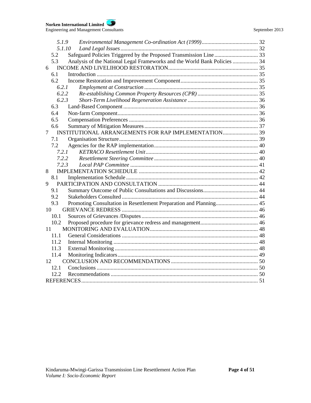| 5.1.9          |                                                                           |  |
|----------------|---------------------------------------------------------------------------|--|
| 5.1.10         |                                                                           |  |
| 5.2            |                                                                           |  |
| 5.3            | Analysis of the National Legal Frameworks and the World Bank Policies  34 |  |
| 6              |                                                                           |  |
| 6.1            |                                                                           |  |
| 6.2            |                                                                           |  |
| 6.2.1          |                                                                           |  |
| 6.2.2          |                                                                           |  |
| 6.2.3          |                                                                           |  |
| 6.3            |                                                                           |  |
| 6.4            |                                                                           |  |
| 6.5            |                                                                           |  |
| 6.6            |                                                                           |  |
| $\overline{7}$ |                                                                           |  |
| 7.1            |                                                                           |  |
| 7.2            |                                                                           |  |
| 7.2.1          |                                                                           |  |
| 7.2.2          |                                                                           |  |
| 7.2.3          |                                                                           |  |
| 8              |                                                                           |  |
| 8.1            |                                                                           |  |
| 9              |                                                                           |  |
| 9.1            |                                                                           |  |
| 9.2            |                                                                           |  |
| 9.3            |                                                                           |  |
| 10             |                                                                           |  |
| 10.1           |                                                                           |  |
| 10.2           |                                                                           |  |
| 11             |                                                                           |  |
| 11.1           |                                                                           |  |
| 11.2           |                                                                           |  |
| 11.3           |                                                                           |  |
| 11.4           |                                                                           |  |
| 12             |                                                                           |  |
| 12.1           |                                                                           |  |
| 12.2           |                                                                           |  |
|                |                                                                           |  |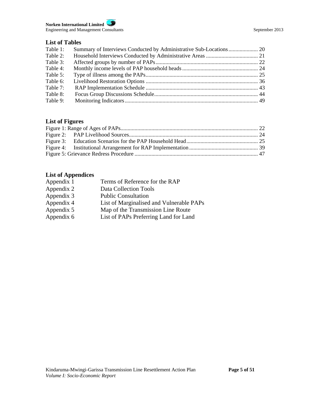#### **Norken International Limited** Engineering and Management Consultants September 2013

### **List of Tables**

| Table 1: |  |
|----------|--|
| Table 2: |  |
| Table 3: |  |
| Table 4: |  |
| Table 5: |  |
| Table 6: |  |
| Table 7: |  |
| Table 8: |  |
| Table 9: |  |

# **List of Figures**

# **List of Appendices**

| Terms of Reference for the RAP           |
|------------------------------------------|
| Data Collection Tools                    |
| <b>Public Consultation</b>               |
| List of Marginalised and Vulnerable PAPs |
| Map of the Transmission Line Route       |
| List of PAPs Preferring Land for Land    |
|                                          |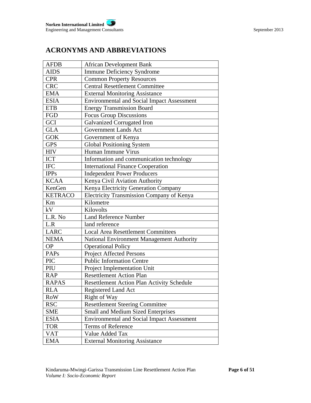# **ACRONYMS AND ABBREVIATIONS**

| <b>AFDB</b>    | <b>African Development Bank</b>                   |
|----------------|---------------------------------------------------|
| <b>AIDS</b>    | <b>Immune Deficiency Syndrome</b>                 |
| <b>CPR</b>     | <b>Common Property Resources</b>                  |
| <b>CRC</b>     | <b>Central Resettlement Committee</b>             |
| <b>EMA</b>     | <b>External Monitoring Assistance</b>             |
| <b>ESIA</b>    | <b>Environmental and Social Impact Assessment</b> |
| <b>ETB</b>     | <b>Energy Transmission Board</b>                  |
| <b>FGD</b>     | <b>Focus Group Discussions</b>                    |
| GCI            | <b>Galvanized Corrugated Iron</b>                 |
| <b>GLA</b>     | <b>Government Lands Act</b>                       |
| <b>GOK</b>     | Government of Kenya                               |
| <b>GPS</b>     | <b>Global Positioning System</b>                  |
| <b>HIV</b>     | Human Immune Virus                                |
| ICT            | Information and communication technology          |
| <b>IFC</b>     | <b>International Finance Cooperation</b>          |
| <b>IPPs</b>    | <b>Independent Power Producers</b>                |
| <b>KCAA</b>    | Kenya Civil Aviation Authority                    |
| KenGen         | Kenya Electricity Generation Company              |
| <b>KETRACO</b> | Electricity Transmission Company of Kenya         |
| Km             | Kilometre                                         |
| kV             | Kilovolts                                         |
| L.R. No        | <b>Land Reference Number</b>                      |
| L.R            | land reference                                    |
| <b>LARC</b>    | <b>Local Area Resettlement Committees</b>         |
| <b>NEMA</b>    | National Environment Management Authority         |
| <b>OP</b>      | <b>Operational Policy</b>                         |
| <b>PAPs</b>    | <b>Project Affected Persons</b>                   |
| <b>PIC</b>     | <b>Public Information Centre</b>                  |
| PIU            | Project Implementation Unit                       |
| <b>RAP</b>     | <b>Resettlement Action Plan</b>                   |
| <b>RAPAS</b>   | <b>Resettlement Action Plan Activity Schedule</b> |
| <b>RLA</b>     | Registered Land Act                               |
| <b>RoW</b>     | Right of Way                                      |
| <b>RSC</b>     | <b>Resettlement Steering Committee</b>            |
| <b>SME</b>     | Small and Medium Sized Enterprises                |
| <b>ESIA</b>    | <b>Environmental and Social Impact Assessment</b> |
| <b>TOR</b>     | Terms of Reference                                |
| <b>VAT</b>     | Value Added Tax                                   |
| <b>EMA</b>     | <b>External Monitoring Assistance</b>             |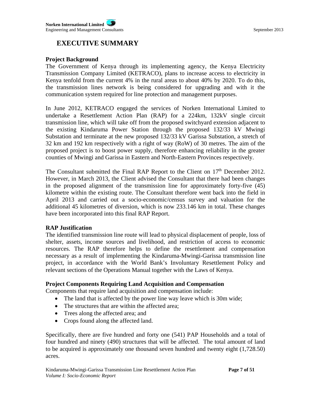# **EXECUTIVE SUMMARY**

#### **Project Background**

The Government of Kenya through its implementing agency, the Kenya Electricity Transmission Company Limited (KETRACO), plans to increase access to electricity in Kenya tenfold from the current 4% in the rural areas to about 40% by 2020. To do this, the transmission lines network is being considered for upgrading and with it the communication system required for line protection and management purposes.

In June 2012, KETRACO engaged the services of Norken International Limited to undertake a Resettlement Action Plan (RAP) for a 224km, 132kV single circuit transmission line, which will take off from the proposed switchyard extension adjacent to the existing Kindaruma Power Station through the proposed 132/33 kV Mwingi Substation and terminate at the new proposed 132/33 kV Garissa Substation, a stretch of 32 km and 192 km respectively with a right of way (RoW) of 30 metres. The aim of the proposed project is to boost power supply, therefore enhancing reliability in the greater counties of Mwingi and Garissa in Eastern and North-Eastern Provinces respectively.

The Consultant submitted the Final RAP Report to the Client on 17<sup>th</sup> December 2012. However, in March 2013, the Client advised the Consultant that there had been changes in the proposed alignment of the transmission line for approximately forty-five (45) kilometre within the existing route. The Consultant therefore went back into the field in April 2013 and carried out a socio-economic/census survey and valuation for the additional 45 kilometres of diversion, which is now 233.146 km in total. These changes have been incorporated into this final RAP Report.

### **RAP Justification**

The identified transmission line route will lead to physical displacement of people, loss of shelter, assets, income sources and livelihood, and restriction of access to economic resources. The RAP therefore helps to define the resettlement and compensation necessary as a result of implementing the Kindaruma-Mwingi-Garissa transmission line project, in accordance with the World Bank's Involuntary Resettlement Policy and relevant sections of the Operations Manual together with the Laws of Kenya.

### **Project Components Requiring Land Acquisition and Compensation**

Components that require land acquisition and compensation include:

- The land that is affected by the power line way leave which is 30m wide;
- The structures that are within the affected area;
- Trees along the affected area; and
- Crops found along the affected land.

Specifically, there are five hundred and forty one (541) PAP Households and a total of four hundred and ninety (490) structures that will be affected. The total amount of land to be acquired is approximately one thousand seven hundred and twenty eight (1,728.50) acres.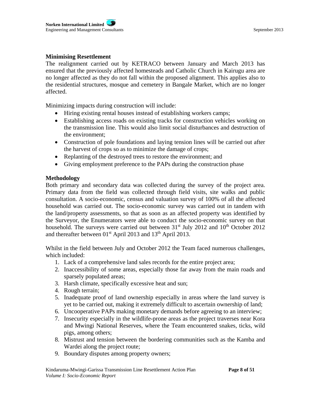# **Minimising Resettlement**

The realignment carried out by KETRACO between January and March 2013 has ensured that the previously affected homesteads and Catholic Church in Kairugu area are no longer affected as they do not fall within the proposed alignment. This applies also to the residential structures, mosque and cemetery in Bangale Market, which are no longer affected.

Minimizing impacts during construction will include:

- Hiring existing rental houses instead of establishing workers camps;
- Establishing access roads on existing tracks for construction vehicles working on the transmission line. This would also limit social disturbances and destruction of the environment;
- Construction of pole foundations and laying tension lines will be carried out after the harvest of crops so as to minimize the damage of crops;
- Replanting of the destroyed trees to restore the environment; and
- Giving employment preference to the PAPs during the construction phase

### **Methodology**

Both primary and secondary data was collected during the survey of the project area. Primary data from the field was collected through field visits, site walks and public consultation. A socio-economic, census and valuation survey of 100% of all the affected household was carried out. The socio-economic survey was carried out in tandem with the land/property assessments, so that as soon as an affected property was identified by the Surveyor, the Enumerators were able to conduct the socio-economic survey on that household. The surveys were carried out between  $31<sup>st</sup>$  July 2012 and  $10<sup>th</sup>$  October 2012 and thereafter between 01<sup>st</sup> April 2013 and 13<sup>th</sup> April 2013.

Whilst in the field between July and October 2012 the Team faced numerous challenges, which included:

- 1. Lack of a comprehensive land sales records for the entire project area;
- 2. Inaccessibility of some areas, especially those far away from the main roads and sparsely populated areas;
- 3. Harsh climate, specifically excessive heat and sun;
- 4. Rough terrain;
- 5. Inadequate proof of land ownership especially in areas where the land survey is yet to be carried out, making it extremely difficult to ascertain ownership of land;
- 6. Uncooperative PAPs making monetary demands before agreeing to an interview;
- 7. Insecurity especially in the wildlife-prone areas as the project traverses near Kora and Mwingi National Reserves, where the Team encountered snakes, ticks, wild pigs, among others;
- 8. Mistrust and tension between the bordering communities such as the Kamba and Wardei along the project route;
- 9. Boundary disputes among property owners;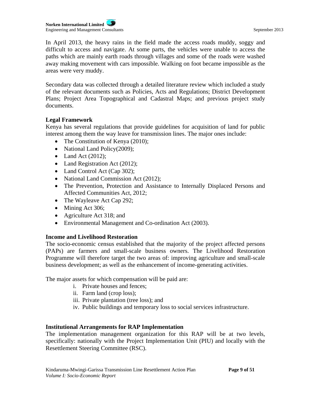**Norken International Limited** Engineering and Management Consultants September 2013

In April 2013, the heavy rains in the field made the access roads muddy, soggy and difficult to access and navigate. At some parts, the vehicles were unable to access the paths which are mainly earth roads through villages and some of the roads were washed away making movement with cars impossible. Walking on foot became impossible as the areas were very muddy.

Secondary data was collected through a detailed literature review which included a study of the relevant documents such as Policies, Acts and Regulations; District Development Plans; Project Area Topographical and Cadastral Maps; and previous project study documents.

# **Legal Framework**

Kenya has several regulations that provide guidelines for acquisition of land for public interest among them the way leave for transmission lines. The major ones include:

- The Constitution of Kenya (2010);
- National Land Policy(2009);
- $\bullet$  Land Act (2012);
- Land Registration Act (2012);
- Land Control Act (Cap 302);
- National Land Commission Act (2012);
- The Prevention, Protection and Assistance to Internally Displaced Persons and Affected Communities Act, 2012;
- The Wayleave Act Cap 292;
- Mining Act 306;
- Agriculture Act 318; and
- Environmental Management and Co-ordination Act (2003).

# **Income and Livelihood Restoration**

The socio-economic census established that the majority of the project affected persons (PAPs) are farmers and small-scale business owners. The Livelihood Restoration Programme will therefore target the two areas of: improving agriculture and small-scale business development; as well as the enhancement of income-generating activities.

The major assets for which compensation will be paid are:

- i. Private houses and fences;
- ii. Farm land (crop loss);
- iii. Private plantation (tree loss); and
- iv. Public buildings and temporary loss to social services infrastructure.

# **Institutional Arrangements for RAP Implementation**

The implementation management organization for this RAP will be at two levels, specifically: nationally with the Project Implementation Unit (PIU) and locally with the Resettlement Steering Committee (RSC).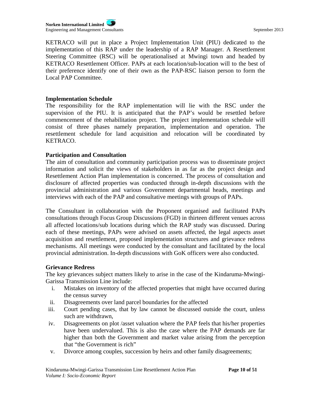KETRACO will put in place a Project Implementation Unit (PIU) dedicated to the implementation of this RAP under the leadership of a RAP Manager. A Resettlement Steering Committee (RSC) will be operationalised at Mwingi town and headed by KETRACO Resettlement Officer. PAPs at each location/sub-location will to the best of their preference identify one of their own as the PAP-RSC liaison person to form the Local PAP Committee.

#### **Implementation Schedule**

The responsibility for the RAP implementation will lie with the RSC under the supervision of the PIU. It is anticipated that the PAP's would be resettled before commencement of the rehabilitation project. The project implementation schedule will consist of three phases namely preparation, implementation and operation. The resettlement schedule for land acquisition and relocation will be coordinated by KETRACO.

### **Participation and Consultation**

The aim of consultation and community participation process was to disseminate project information and solicit the views of stakeholders in as far as the project design and Resettlement Action Plan implementation is concerned. The process of consultation and disclosure of affected properties was conducted through in-depth discussions with the provincial administration and various Government departmental heads, meetings and interviews with each of the PAP and consultative meetings with groups of PAPs.

The Consultant in collaboration with the Proponent organised and facilitated PAPs consultations through Focus Group Discussions (FGD) in thirteen different venues across all affected locations/sub locations during which the RAP study was discussed. During each of these meetings, PAPs were advised on assets affected, the legal aspects asset acquisition and resettlement, proposed implementation structures and grievance redress mechanisms. All meetings were conducted by the consultant and facilitated by the local provincial administration. In-depth discussions with GoK officers were also conducted.

### **Grievance Redress**

The key grievances subject matters likely to arise in the case of the Kindaruma-Mwingi-Garissa Transmission Line include:

- i. Mistakes on inventory of the affected properties that might have occurred during the census survey
- ii. Disagreements over land parcel boundaries for the affected
- iii. Court pending cases, that by law cannot be discussed outside the court, unless such are withdrawn,
- iv. Disagreements on plot /asset valuation where the PAP feels that his/her properties have been undervalued. This is also the case where the PAP demands are far higher than both the Government and market value arising from the perception that "the Government is rich"
- v. Divorce among couples, succession by heirs and other family disagreements;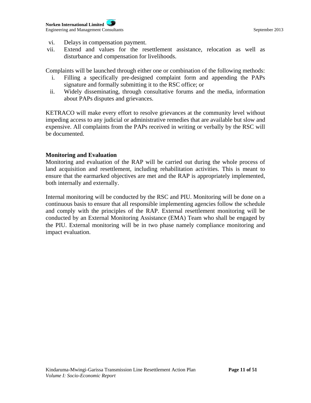- vi. Delays in compensation payment.
- vii. Extend and values for the resettlement assistance, relocation as well as disturbance and compensation for livelihoods.

Complaints will be launched through either one or combination of the following methods:

- i. Filling a specifically pre-designed complaint form and appending the PAPs signature and formally submitting it to the RSC office; or
- ii. Widely disseminating, through consultative forums and the media, information about PAPs disputes and grievances.

KETRACO will make every effort to resolve grievances at the community level without impeding access to any judicial or administrative remedies that are available but slow and expensive. All complaints from the PAPs received in writing or verbally by the RSC will be documented.

### **Monitoring and Evaluation**

Monitoring and evaluation of the RAP will be carried out during the whole process of land acquisition and resettlement, including rehabilitation activities. This is meant to ensure that the earmarked objectives are met and the RAP is appropriately implemented, both internally and externally.

Internal monitoring will be conducted by the RSC and PIU. Monitoring will be done on a continuous basis to ensure that all responsible implementing agencies follow the schedule and comply with the principles of the RAP. External resettlement monitoring will be conducted by an External Monitoring Assistance (EMA) Team who shall be engaged by the PIU. External monitoring will be in two phase namely compliance monitoring and impact evaluation.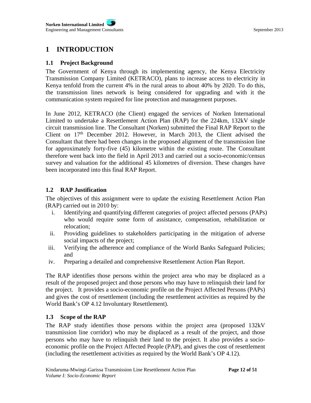# **1 INTRODUCTION**

# **1.1 Project Background**

The Government of Kenya through its implementing agency, the Kenya Electricity Transmission Company Limited (KETRACO), plans to increase access to electricity in Kenya tenfold from the current 4% in the rural areas to about 40% by 2020. To do this, the transmission lines network is being considered for upgrading and with it the communication system required for line protection and management purposes.

In June 2012, KETRACO (the Client) engaged the services of Norken International Limited to undertake a Resettlement Action Plan (RAP) for the 224km, 132kV single circuit transmission line. The Consultant (Norken) submitted the Final RAP Report to the Client on 17<sup>th</sup> December 2012. However, in March 2013, the Client advised the Consultant that there had been changes in the proposed alignment of the transmission line for approximately forty-five (45) kilometre within the existing route. The Consultant therefore went back into the field in April 2013 and carried out a socio-economic/census survey and valuation for the additional 45 kilometres of diversion. These changes have been incorporated into this final RAP Report.

# **1.2 RAP Justification**

The objectives of this assignment were to update the existing Resettlement Action Plan (RAP) carried out in 2010 by:

- i. Identifying and quantifying different categories of project affected persons (PAPs) who would require some form of assistance, compensation, rehabilitation or relocation;
- ii. Providing guidelines to stakeholders participating in the mitigation of adverse social impacts of the project;
- iii. Verifying the adherence and compliance of the World Banks Safeguard Policies; and
- iv. Preparing a detailed and comprehensive Resettlement Action Plan Report.

The RAP identifies those persons within the project area who may be displaced as a result of the proposed project and those persons who may have to relinquish their land for the project. It provides a socio-economic profile on the Project Affected Persons (PAPs) and gives the cost of resettlement (including the resettlement activities as required by the World Bank's OP 4.12 Involuntary Resettlement).

# **1.3 Scope of the RAP**

The RAP study identifies those persons within the project area (proposed 132kV transmission line corridor) who may be displaced as a result of the project, and those persons who may have to relinquish their land to the project. It also provides a socioeconomic profile on the Project Affected People (PAP), and gives the cost of resettlement (including the resettlement activities as required by the World Bank's OP 4.12).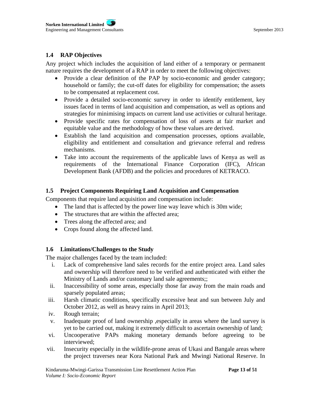# **1.4 RAP Objectives**

Any project which includes the acquisition of land either of a temporary or permanent nature requires the development of a RAP in order to meet the following objectives:

- Provide a clear definition of the PAP by socio-economic and gender category; household or family; the cut-off dates for eligibility for compensation; the assets to be compensated at replacement cost.
- Provide a detailed socio-economic survey in order to identify entitlement, key issues faced in terms of land acquisition and compensation, as well as options and strategies for minimising impacts on current land use activities or cultural heritage.
- Provide specific rates for compensation of loss of assets at fair market and equitable value and the methodology of how these values are derived.
- Establish the land acquisition and compensation processes, options available, eligibility and entitlement and consultation and grievance referral and redress mechanisms.
- Take into account the requirements of the applicable laws of Kenya as well as requirements of the International Finance Corporation (IFC), African Development Bank (AFDB) and the policies and procedures of KETRACO.

# **1.5 Project Components Requiring Land Acquisition and Compensation**

Components that require land acquisition and compensation include:

- The land that is affected by the power line way leave which is 30m wide;
- The structures that are within the affected area:
- Trees along the affected area; and
- Crops found along the affected land.

### **1.6 Limitations/Challenges to the Study**

The major challenges faced by the team included:

- i. Lack of comprehensive land sales records for the entire project area. Land sales and ownership will therefore need to be verified and authenticated with either the Ministry of Lands and/or customary land sale agreements;;
- ii. Inaccessibility of some areas, especially those far away from the main roads and sparsely populated areas;
- iii. Harsh climatic conditions, specifically excessive heat and sun between July and October 2012, as well as heavy rains in April 2013;
- iv. Rough terrain;
- v. Inadequate proof of land ownership ,especially in areas where the land survey is yet to be carried out, making it extremely difficult to ascertain ownership of land;
- vi. Uncooperative PAPs making monetary demands before agreeing to be interviewed;
- vii. Insecurity especially in the wildlife-prone areas of Ukasi and Bangale areas where the project traverses near Kora National Park and Mwingi National Reserve. In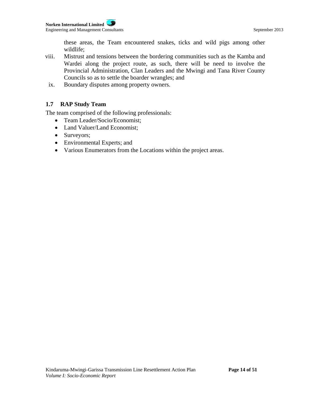these areas, the Team encountered snakes, ticks and wild pigs among other wildlife;

- viii. Mistrust and tensions between the bordering communities such as the Kamba and Wardei along the project route, as such, there will be need to involve the Provincial Administration, Clan Leaders and the Mwingi and Tana River County Councils so as to settle the boarder wrangles; and
- ix. Boundary disputes among property owners.

# **1.7 RAP Study Team**

The team comprised of the following professionals:

- Team Leader/Socio/Economist;
- Land Valuer/Land Economist;
- Surveyors;
- Environmental Experts; and
- Various Enumerators from the Locations within the project areas.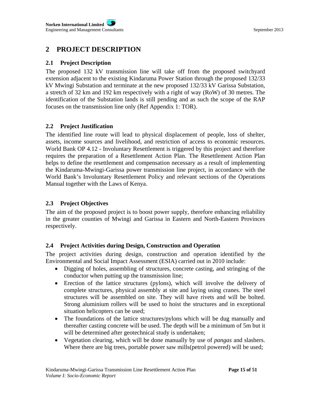# **2 PROJECT DESCRIPTION**

# **2.1 Project Description**

The proposed 132 kV transmission line will take off from the proposed switchyard extension adjacent to the existing Kindaruma Power Station through the proposed 132/33 kV Mwingi Substation and terminate at the new proposed 132/33 kV Garissa Substation, a stretch of 32 km and 192 km respectively with a right of way (RoW) of 30 metres. The identification of the Substation lands is still pending and as such the scope of the RAP focuses on the transmission line only (Ref Appendix 1: TOR).

# **2.2 Project Justification**

The identified line route will lead to physical displacement of people, loss of shelter, assets, income sources and livelihood, and restriction of access to economic resources. World Bank OP 4.12 - Involuntary Resettlement is triggered by this project and therefore requires the preparation of a Resettlement Action Plan. The Resettlement Action Plan helps to define the resettlement and compensation necessary as a result of implementing the Kindaruma-Mwingi-Garissa power transmission line project, in accordance with the World Bank's Involuntary Resettlement Policy and relevant sections of the Operations Manual together with the Laws of Kenya.

# **2.3 Project Objectives**

The aim of the proposed project is to boost power supply, therefore enhancing reliability in the greater counties of Mwingi and Garissa in Eastern and North-Eastern Provinces respectively.

# **2.4 Project Activities during Design, Construction and Operation**

The project activities during design, construction and operation identified by the Environmental and Social Impact Assessment (ESIA) carried out in 2010 include:

- Digging of holes, assembling of structures, concrete casting, and stringing of the conductor when putting up the transmission line;
- Erection of the lattice structures (pylons), which will involve the delivery of complete structures, physical assembly at site and laying using cranes. The steel structures will be assembled on site. They will have rivets and will be bolted. Strong aluminium rollers will be used to hoist the structures and in exceptional situation helicopters can be used;
- The foundations of the lattice structures/pylons which will be dug manually and thereafter casting concrete will be used. The depth will be a minimum of 5m but it will be determined after geotechnical study is undertaken;
- Vegetation clearing, which will be done manually by use of *pangas* and slashers. Where there are big trees, portable power saw mills(petrol powered) will be used;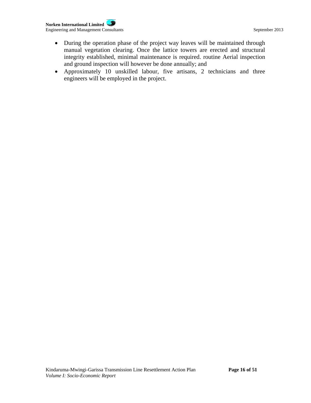**Norken International Limited** Engineering and Management Consultants September 2013

- During the operation phase of the project way leaves will be maintained through manual vegetation clearing. Once the lattice towers are erected and structural integrity established, minimal maintenance is required. routine Aerial inspection and ground inspection will however be done annually; and
- Approximately 10 unskilled labour, five artisans, 2 technicians and three engineers will be employed in the project.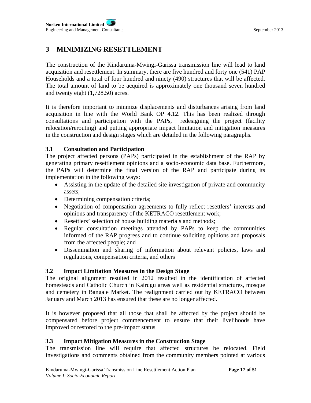# **3 MINIMIZING RESETTLEMENT**

The construction of the Kindaruma-Mwingi-Garissa transmission line will lead to land acquisition and resettlement. In summary, there are five hundred and forty one (541) PAP Households and a total of four hundred and ninety (490) structures that will be affected. The total amount of land to be acquired is approximately one thousand seven hundred and twenty eight (1,728.50) acres.

It is therefore important to minmize displacements and disturbances arising from land acquisition in line with the World Bank OP 4.12. This has been realized through consultations and participation with the PAPs, redesigning the project (facility relocation/rerouting) and putting appropriate impact limitation and mitigation measures in the construction and design stages which are detailed in the following paragraphs.

# **3.1 Consultation and Participation**

The project affected persons (PAPs) participated in the establishment of the RAP by generating primary resettlement opinions and a socio-economic data base. Furthermore, the PAPs will determine the final version of the RAP and participate during its implementation in the following ways:

- Assisting in the update of the detailed site investigation of private and community assets;
- Determining compensation criteria;
- Negotiation of compensation agreements to fully reflect resettlers' interests and opinions and transparency of the KETRACO resettlement work;
- Resettlers' selection of house building materials and methods;
- Regular consultation meetings attended by PAPs to keep the communities informed of the RAP progress and to continue soliciting opinions and proposals from the affected people; and
- Dissemination and sharing of information about relevant policies, laws and regulations, compensation criteria, and others

# **3.2 Impact Limitation Measures in the Design Stage**

The original alignment resulted in 2012 resulted in the identification of affected homesteads and Catholic Church in Kairugu areas well as residential structures, mosque and cemetery in Bangale Market. The realignment carried out by KETRACO between January and March 2013 has ensured that these are no longer affected.

It is however proposed that all those that shall be affected by the project should be compensated before project commencement to ensure that their livelihoods have improved or restored to the pre-impact status

# **3.3 Impact Mitigation Measures in the Construction Stage**

The transmission line will require that affected structures be relocated. Field investigations and comments obtained from the community members pointed at various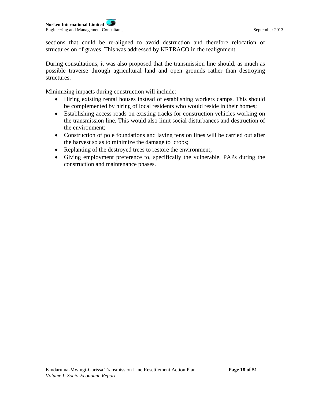sections that could be re-aligned to avoid destruction and therefore relocation of structures on of graves. This was addressed by KETRACO in the realignment.

During consultations, it was also proposed that the transmission line should, as much as possible traverse through agricultural land and open grounds rather than destroying structures.

Minimizing impacts during construction will include:

- Hiring existing rental houses instead of establishing workers camps. This should be complemented by hiring of local residents who would reside in their homes;
- Establishing access roads on existing tracks for construction vehicles working on the transmission line. This would also limit social disturbances and destruction of the environment;
- Construction of pole foundations and laying tension lines will be carried out after the harvest so as to minimize the damage to crops;
- Replanting of the destroyed trees to restore the environment;
- Giving employment preference to, specifically the vulnerable, PAPs during the construction and maintenance phases.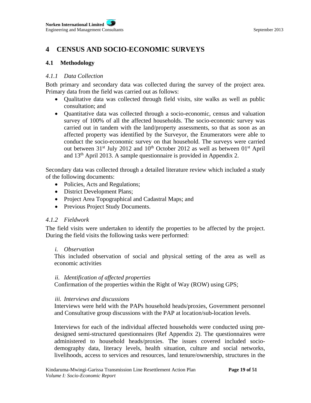# **4 CENSUS AND SOCIO-ECONOMIC SURVEYS**

# **4.1 Methodology**

### *4.1.1 Data Collection*

Both primary and secondary data was collected during the survey of the project area. Primary data from the field was carried out as follows:

- Qualitative data was collected through field visits, site walks as well as public consultation; and
- Quantitative data was collected through a socio-economic, census and valuation survey of 100% of all the affected households. The socio-economic survey was carried out in tandem with the land/property assessments, so that as soon as an affected property was identified by the Surveyor, the Enumerators were able to conduct the socio-economic survey on that household. The surveys were carried out between  $31^{st}$  July 2012 and  $10^{th}$  October 2012 as well as between  $01^{st}$  April and 13th April 2013. A sample questionnaire is provided in Appendix 2.

Secondary data was collected through a detailed literature review which included a study of the following documents:

- Policies, Acts and Regulations;
- District Development Plans;
- Project Area Topographical and Cadastral Maps; and
- Previous Project Study Documents.

# *4.1.2 Fieldwork*

The field visits were undertaken to identify the properties to be affected by the project. During the field visits the following tasks were performed:

# *i. Observation*

This included observation of social and physical setting of the area as well as economic activities

# *ii. Identification of affected properties*

Confirmation of the properties within the Right of Way (ROW) using GPS;

# *iii. Interviews and discussions*

Interviews were held with the PAPs household heads/proxies, Government personnel and Consultative group discussions with the PAP at location/sub-location levels.

Interviews for each of the individual affected households were conducted using predesigned semi-structured questionnaires (Ref Appendix 2). The questionnaires were administered to household heads/proxies. The issues covered included sociodemography data, literacy levels, health situation, culture and social networks, livelihoods, access to services and resources, land tenure/ownership, structures in the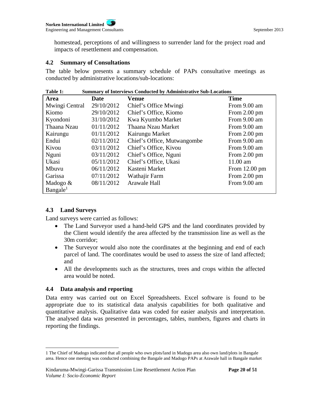homestead, perceptions of and willingness to surrender land for the project road and impacts of resettlement and compensation.

#### **4.2 Summary of Consultations**

The table below presents a summary schedule of PAPs consultative meetings as conducted by administrative locations/sub-locations:

| <b>Summary of Interviews Conducted by Administrative Sub-Locations</b><br>Table 1: |            |                             |                         |  |
|------------------------------------------------------------------------------------|------------|-----------------------------|-------------------------|--|
| Area                                                                               | Date       | <b>Venue</b>                | <b>Time</b>             |  |
| Mwingi Central                                                                     | 29/10/2012 | Chief's Office Mwingi       | From 9.00 am            |  |
| Kiomo                                                                              | 29/10/2012 | Chief's Office, Kiomo       | From $2.00$ pm          |  |
| Kyondoni                                                                           | 31/10/2012 | Kwa Kyumbo Market           | From 9.00 am            |  |
| Thaana Nzau                                                                        | 01/11/2012 | Thaana Nzau Market          | From 9.00 am            |  |
| Kairungu                                                                           | 01/11/2012 | Kairungu Market             | From $2.00 \text{ pm}$  |  |
| Endui                                                                              | 02/11/2012 | Chief's Office, Mutwangombe | From 9.00 am            |  |
| Kivou                                                                              | 03/11/2012 | Chief's Office, Kivou       | From 9.00 am            |  |
| Nguni                                                                              | 03/11/2012 | Chief's Office, Nguni       | From $2.00 \text{ pm}$  |  |
| Ukasi                                                                              | 05/11/2012 | Chief's Office, Ukasi       | 11.00 am                |  |
| Mbuvu                                                                              | 06/11/2012 | Kasteni Market              | From $12.00 \text{ pm}$ |  |
| Garissa                                                                            | 07/11/2012 | Wathajir Farm               | From $2.00$ pm          |  |
| Madogo $&$                                                                         | 08/11/2012 | Arawale Hall                | From 9.00 am            |  |
| Bangale <sup>1</sup>                                                               |            |                             |                         |  |

### **4.3 Land Surveys**

l

Land surveys were carried as follows:

- The Land Surveyor used a hand-held GPS and the land coordinates provided by the Client would identify the area affected by the transmission line as well as the 30m corridor;
- The Surveyor would also note the coordinates at the beginning and end of each parcel of land. The coordinates would be used to assess the size of land affected; and
- All the developments such as the structures, trees and crops within the affected area would be noted.

### **4.4 Data analysis and reporting**

Data entry was carried out on Excel Spreadsheets. Excel software is found to be appropriate due to its statistical data analysis capabilities for both qualitative and quantitative analysis. Qualitative data was coded for easier analysis and interpretation. The analysed data was presented in percentages, tables, numbers, figures and charts in reporting the findings.

<sup>1</sup> The Chief of Madogo indicated that all people who own plots/land in Madogo area also own land/plots in Bangale area. Hence one meeting was conducted combining the Bangale and Madogo PAPs at Arawale hall in Bangale market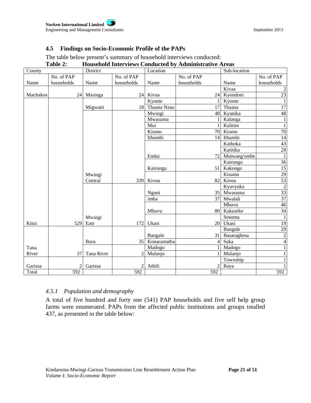# **4.5 Findings on Socio-Economic Profile of the PAPs**

# The table below present's summary of household interviews conducted:

|          | 1 avie 4:      |            |            |             | Household Hiterviews Conducted by Administrative Areas |              |                 |
|----------|----------------|------------|------------|-------------|--------------------------------------------------------|--------------|-----------------|
| County   |                | District   |            | Location    |                                                        | Sub-location |                 |
|          | No. of PAP     |            | No. of PAP |             | No. of PAP                                             |              | No. of PAP      |
| Name     | households     | Name       | households | Name        | households                                             | Name         | households      |
|          |                |            |            |             |                                                        | Kivaa        | 2               |
| Machakos |                | 24 Masinga |            | 24 Kivaa    |                                                        | 24 Kyondoni  | $\overline{23}$ |
|          |                |            |            | Kyome       |                                                        | Kyome        | $\mathbf{1}$    |
|          |                | Migwani    | 18         | Thaana Nzau | 17                                                     | Thaana       | 17              |
|          |                |            |            | Mwingi      | 48                                                     | Kyanika      | 48              |
|          |                |            |            | Mwasuma     |                                                        | Kalanga      | $\mathbf{1}$    |
|          |                |            |            | Mui         |                                                        | Kalitini     | $\mathbf{1}$    |
|          |                |            |            | Kiomo       |                                                        | 70 Kiomo     | 70              |
|          |                |            |            | Ithumbi     | 14                                                     | Ithumbi      | 14              |
|          |                |            |            |             |                                                        | Kathoka      | 43              |
|          |                |            |            |             |                                                        | Katitika     | $28\,$          |
|          |                |            |            | Endui       | 72                                                     | Mutwang'ombe | $\overline{1}$  |
|          |                |            |            |             |                                                        | Kairungu     | 36              |
|          |                |            |            | Kairungu    | 51                                                     | Kakongo      | 15              |
|          |                | Mwingi     |            |             |                                                        | Kisama       | 29              |
|          |                | Central    | 339        | Kivou       | 82                                                     | Kivou        | 53              |
|          |                |            |            |             |                                                        | Kyavyuka     | $\frac{2}{37}$  |
|          |                |            |            | Nguni       |                                                        | 35 Mwasuma   |                 |
|          |                |            |            | imba        | 37                                                     | Mwalali      |                 |
|          |                |            |            |             |                                                        | Mbuvu        | 46              |
|          |                |            |            | Mbuvu       | 80                                                     | Kakunike     | 34              |
|          |                | Mwingi     |            |             |                                                        | Sosoma       | $\mathbf{1}$    |
| Kitui    | 529            | East       | 172        | Ukasi       | 20                                                     | Ukasi        | 19              |
|          |                |            |            |             |                                                        | Bangale      | 29              |
|          |                |            |            | Bangale     | 31                                                     | Basaraghesa  | $\overline{2}$  |
|          |                | Bura       | 35         | Konaramatha | $\vert 4 \vert$                                        | Saka         | $\overline{4}$  |
| Tana     |                |            |            | Madogo      |                                                        | Madogo       | $\mathbf{1}$    |
| River    | 37             | Tana River |            | Mulanjo     |                                                        | Mulanjo      | $\mathbf{1}$    |
|          |                |            |            |             |                                                        | Township     |                 |
| Garissa  | $\overline{2}$ | Garissa    |            | Athili      | $\overline{2}$                                         | Raya         |                 |
| Total    | 592            |            | 592        |             | 592                                                    |              | 592             |

# **Table 2: Household Interviews Conducted by Administrative Areas**

# *4.5.1 Population and demography*

A total of five hundred and forty one (541) PAP households and five self help group farms were enumerated. PAPs from the affected public institutions and groups totalled 437, as presented in the table below: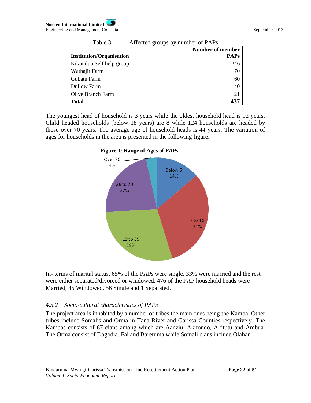| Table 3:                        | Affected groups by number of PAPs |
|---------------------------------|-----------------------------------|
|                                 | <b>Number of member</b>           |
| <b>Institution/Organisation</b> | <b>PAPs</b>                       |
| Kikunduu Self help group        | 246                               |
| Wathajir Farm                   | 70                                |
| Gubatu Farm                     | 60                                |
| Dullow Farm                     | 40                                |
| Olive Branch Farm               | 21                                |
| <b>Total</b>                    | 437                               |

The youngest head of household is 3 years while the oldest household head is 92 years. Child headed households (below 18 years) are 8 while 124 households are headed by those over 70 years. The average age of household heads is 44 years. The variation of ages for households in the area is presented in the following figure:



**Figure 1: Range of Ages of PAPs** 

In- terms of marital status, 65% of the PAPs were single, 33% were married and the rest were either separated/divorced or windowed. 476 of the PAP household heads were Married, 45 Windowed, 56 Single and 1 Separated.

# *4.5.2 Socio-cultural characteristics of PAPs*

The project area is inhabited by a number of tribes the main ones being the Kamba. Other tribes include Somalis and Orma in Tana River and Garissa Counties respectively. The Kambas consists of 67 clans among which are Aanziu, Akitondo, Akitutu and Ambua. The Orma consist of Dagodia, Fai and Baretuma while Somali clans include Olahan.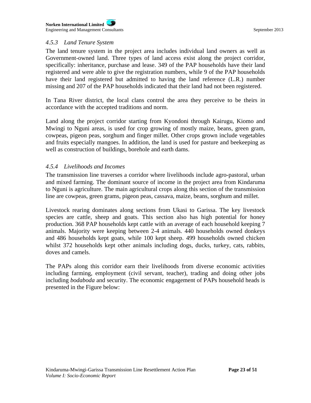### *4.5.3 Land Tenure System*

The land tenure system in the project area includes individual land owners as well as Government-owned land. Three types of land access exist along the project corridor, specifically: inheritance, purchase and lease. 349 of the PAP households have their land registered and were able to give the registration numbers, while 9 of the PAP households have their land registered but admitted to having the land reference (L.R.) number missing and 207 of the PAP households indicated that their land had not been registered.

In Tana River district, the local clans control the area they perceive to be theirs in accordance with the accepted traditions and norm.

Land along the project corridor starting from Kyondoni through Kairugu, Kiomo and Mwingi to Nguni areas, is used for crop growing of mostly maize, beans, green gram, cowpeas, pigeon peas, sorghum and finger millet. Other crops grown include vegetables and fruits especially mangoes. In addition, the land is used for pasture and beekeeping as well as construction of buildings, borehole and earth dams.

### *4.5.4 Livelihoods and Incomes*

The transmission line traverses a corridor where livelihoods include agro-pastoral, urban and mixed farming. The dominant source of income in the project area from Kindaruma to Nguni is agriculture. The main agricultural crops along this section of the transmission line are cowpeas, green grams, pigeon peas, cassava, maize, beans, sorghum and millet.

Livestock rearing dominates along sections from Ukasi to Garissa. The key livestock species are cattle, sheep and goats. This section also has high potential for honey production. 368 PAP households kept cattle with an average of each household keeping 7 animals. Majority were keeping between 2-4 animals. 440 households owned donkeys and 486 households kept goats, while 100 kept sheep. 499 households owned chicken whilst 372 households kept other animals including dogs, ducks, turkey, cats, rabbits, doves and camels.

The PAPs along this corridor earn their livelihoods from diverse economic activities including farming, employment (civil servant, teacher), trading and doing other jobs including *bodaboda* and security. The economic engagement of PAPs household heads is presented in the Figure below: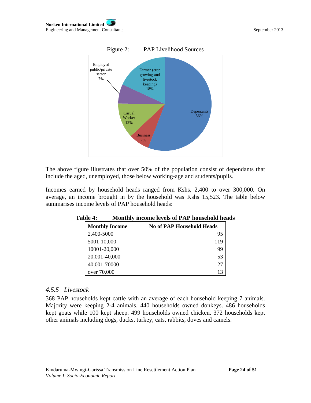

The above figure illustrates that over 50% of the population consist of dependants that include the aged, unemployed, those below working-age and students/pupils.

Incomes earned by household heads ranged from Kshs, 2,400 to over 300,000. On average, an income brought in by the household was Kshs 15,523. The table below summarises income levels of PAP household heads:

| <b>Table 4:</b>       | Monthly income levels of PAP household heads |  |
|-----------------------|----------------------------------------------|--|
| <b>Monthly Income</b> | <b>No of PAP Household Heads</b>             |  |
| 2,400-5000            | 95                                           |  |
| 5001-10,000           | 119                                          |  |
| 10001-20,000          | 99                                           |  |
| 20,001-40,000         | 53                                           |  |
| 40,001-70000          | 27                                           |  |
| over 70,000           | 13                                           |  |

# **Table 4: Monthly income levels of PAP household heads**

### *4.5.5 Livestock*

368 PAP households kept cattle with an average of each household keeping 7 animals. Majority were keeping 2-4 animals. 440 households owned donkeys. 486 households kept goats while 100 kept sheep. 499 households owned chicken. 372 households kept other animals including dogs, ducks, turkey, cats, rabbits, doves and camels.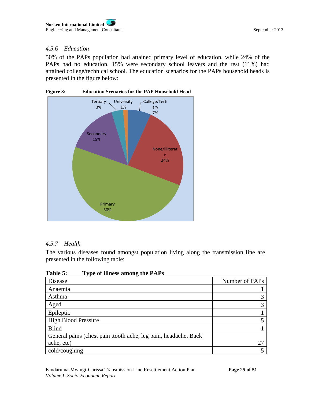# *4.5.6 Education*

50% of the PAPs population had attained primary level of education, while 24% of the PAPs had no education. 15% were secondary school leavers and the rest (11%) had attained college/technical school. The education scenarios for the PAPs household heads is presented in the figure below:



# *4.5.7 Health*

The various diseases found amongst population living along the transmission line are presented in the following table:

| Table 5:<br>Type of illness among the PAPs                      |                |
|-----------------------------------------------------------------|----------------|
| Disease                                                         | Number of PAPs |
| Anaemia                                                         |                |
| Asthma                                                          |                |
| Aged                                                            |                |
| Epileptic                                                       |                |
| <b>High Blood Pressure</b>                                      |                |
| <b>Blind</b>                                                    |                |
| General pains (chest pain, tooth ache, leg pain, headache, Back |                |
| ache, etc)                                                      | 27             |
| cold/coughing                                                   |                |

### **Table 5: Type of illness among the PAPs**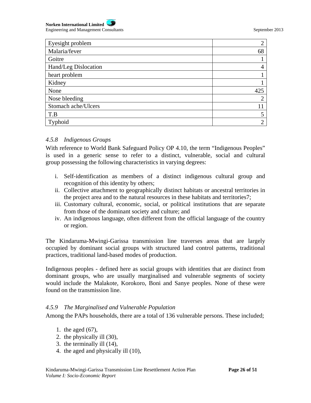

| Eyesight problem     | ◠   |
|----------------------|-----|
| Malaria/fever        | 68  |
| Goitre               |     |
| Hand/Leg Dislocation | 4   |
| heart problem        |     |
| Kidney               |     |
| None                 | 425 |
| Nose bleeding        | ി   |
| Stomach ache/Ulcers  |     |
| T.B                  | 5   |
| Typhoid              | ◠   |

### *4.5.8 Indigenous Groups*

With reference to World Bank Safeguard Policy OP 4.10, the term "Indigenous Peoples" is used in a generic sense to refer to a distinct, vulnerable, social and cultural group possessing the following characteristics in varying degrees:

- i. Self-identification as members of a distinct indigenous cultural group and recognition of this identity by others;
- ii. Collective attachment to geographically distinct habitats or ancestral territories in the project area and to the natural resources in these habitats and territories7;
- iii. Customary cultural, economic, social, or political institutions that are separate from those of the dominant society and culture; and
- iv. An indigenous language, often different from the official language of the country or region.

The Kindaruma-Mwingi-Garissa transmission line traverses areas that are largely occupied by dominant social groups with structured land control patterns, traditional practices, traditional land-based modes of production.

Indigenous peoples - defined here as social groups with identities that are distinct from dominant groups, who are usually marginalised and vulnerable segments of society would include the Malakote, Korokoro, Boni and Sanye peoples. None of these were found on the transmission line.

### *4.5.9 The Marginalised and Vulnerable Population*

Among the PAPs households, there are a total of 136 vulnerable persons. These included;

- 1. the aged (67),
- 2. the physically ill (30),
- 3. the terminally ill (14),
- 4. the aged and physically ill (10),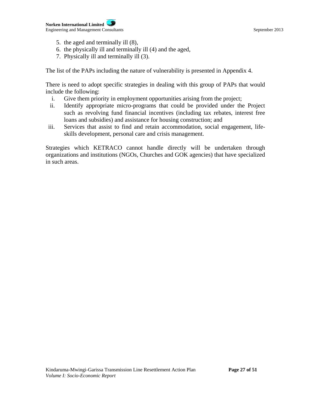- 5. the aged and terminally ill (8),
- 6. the physically ill and terminally ill (4) and the aged,
- 7. Physically ill and terminally ill (3).

The list of the PAPs including the nature of vulnerability is presented in Appendix 4.

There is need to adopt specific strategies in dealing with this group of PAPs that would include the following:

- i. Give them priority in employment opportunities arising from the project;
- ii. Identify appropriate micro-programs that could be provided under the Project such as revolving fund financial incentives (including tax rebates, interest free loans and subsidies) and assistance for housing construction; and
- iii. Services that assist to find and retain accommodation, social engagement, lifeskills development, personal care and crisis management.

Strategies which KETRACO cannot handle directly will be undertaken through organizations and institutions (NGOs, Churches and GOK agencies) that have specialized in such areas.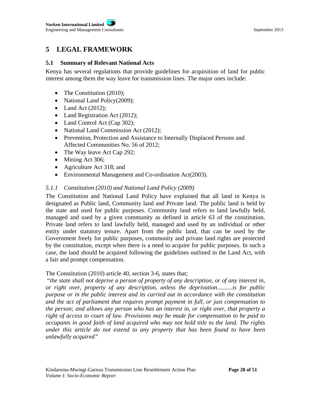# **5 LEGAL FRAMEWORK**

### **5.1 Summary of Relevant National Acts**

Kenya has several regulations that provide guidelines for acquisition of land for public interest among them the way leave for transmission lines. The major ones include:

- The Constitution (2010);
- National Land Policy(2009);
- $\bullet$  Land Act (2012);
- Land Registration Act (2012);
- Land Control Act (Cap 302);
- National Land Commission Act (2012);
- Prevention, Protection and Assistance to Internally Displaced Persons and Affected Communities No. 56 of 2012;
- The Way leave Act Cap 292;
- Mining Act 306;
- Agriculture Act 318; and
- Environmental Management and Co-ordination Act(2003).

# *5.1.1 Constitution (2010) and National Land Policy (2009)*

The Constitution and National Land Policy have explained that all land in Kenya is designated as Public land, Community land and Private land. The public land is held by the state and used for public purposes. Community land refers to land lawfully held, managed and used by a given community as defined in article 63 of the constitution. Private land refers to land lawfully held, managed and used by an individual or other entity under statutory tenure. Apart from the public land, that can be used by the Government freely for public purposes, community and private land rights are protected by the constitution, except when there is a need to acquire for public purposes. In such a case, the land should be acquired following the guidelines outlined in the Land Act, with a fair and prompt compensation.

### The Constitution (2010) article 40, section 3-6, states that;

 "*the state shall not deprive a person of property of any description, or of any interest in, or right over, property of any description, unless the deprivation..........is for public purpose or in the public interest and its carried out in accordance with the constitution and the act of parliament that requires prompt payment in full, or just compensation to the person; and allows any person who has an interest in, or right over, that property a right of access to court of law. Provisions may be made for compensation to be paid to occupants in good faith of land acquired who may not hold title to the land. The rights under this article do not extend to any property that has been found to have been unlawfully acquired"*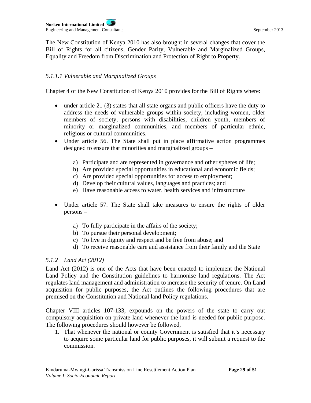**Norken International Limited** Engineering and Management Consultants September 2013

The New Constitution of Kenya 2010 has also brought in several changes that cover the Bill of Rights for all citizens, Gender Parity, Vulnerable and Marginalized Groups, Equality and Freedom from Discrimination and Protection of Right to Property.

# *5.1.1.1 Vulnerable and Marginalized Groups*

Chapter 4 of the New Constitution of Kenya 2010 provides for the Bill of Rights where:

- under article 21 (3) states that all state organs and public officers have the duty to address the needs of vulnerable groups within society, including women, older members of society, persons with disabilities, children youth, members of minority or marginalized communities, and members of particular ethnic, religious or cultural communities.
- Under article 56. The State shall put in place affirmative action programmes designed to ensure that minorities and marginalized groups –
	- a) Participate and are represented in governance and other spheres of life;
	- b) Are provided special opportunities in educational and economic fields;
	- c) Are provided special opportunities for access to employment;
	- d) Develop their cultural values, languages and practices; and
	- e) Have reasonable access to water, health services and infrastructure
- Under article 57. The State shall take measures to ensure the rights of older persons –
	- a) To fully participate in the affairs of the society;
	- b) To pursue their personal development;
	- c) To live in dignity and respect and be free from abuse; and
	- d) To receive reasonable care and assistance from their family and the State

# *5.1.2 Land Act (2012)*

Land Act (2012) is one of the Acts that have been enacted to implement the National Land Policy and the Constitution guidelines to harmonise land regulations. The Act regulates land management and administration to increase the security of tenure. On Land acquisition for public purposes, the Act outlines the following procedures that are premised on the Constitution and National land Policy regulations.

Chapter VIII articles 107-133, expounds on the powers of the state to carry out compulsory acquisition on private land whenever the land is needed for public purpose. The following procedures should however be followed,

1. That whenever the national or county Government is satisfied that it's necessary to acquire some particular land for public purposes, it will submit a request to the commission.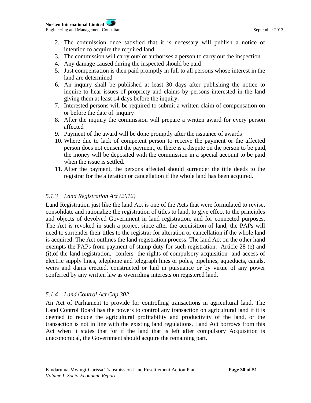- 2. The commission once satisfied that it is necessary will publish a notice of intention to acquire the required land
- 3. The commission will carry out/ or authorises a person to carry out the inspection
- 4. Any damage caused during the inspected should be paid
- 5. Just compensation is then paid promptly in full to all persons whose interest in the land are determined
- 6. An inquiry shall be published at least 30 days after publishing the notice to inquire to hear issues of propriety and claims by persons interested in the land giving them at least 14 days before the inquiry.
- 7. Interested persons will be required to submit a written claim of compensation on or before the date of inquiry
- 8. After the inquiry the commission will prepare a written award for every person affected
- 9. Payment of the award will be done promptly after the issuance of awards
- 10. Where due to lack of competent person to receive the payment or the affected person does not consent the payment, or there is a dispute on the person to be paid, the money will be deposited with the commission in a special account to be paid when the issue is settled.
- 11. After the payment, the persons affected should surrender the title deeds to the registrar for the alteration or cancellation if the whole land has been acquired.

# *5.1.3 Land Registration Act (2012)*

Land Registration just like the land Act is one of the Acts that were formulated to revise, consolidate and rationalize the registration of titles to land, to give effect to the principles and objects of devolved Government in land registration, and for connected purposes. The Act is revoked in such a project since after the acquisition of land; the PAPs will need to surrender their titles to the registrar for alteration or cancellation if the whole land is acquired. The Act outlines the land registration process. The land Act on the other hand exempts the PAPs from payment of stamp duty for such registration. Article 28 (e) and (i),of the land registration, confers the rights of compulsory acquisition and access of electric supply lines, telephone and telegraph lines or poles, pipelines, aqueducts, canals, weirs and dams erected, constructed or laid in pursuance or by virtue of any power conferred by any written law as overriding interests on registered land.

# *5.1.4 Land Control Act Cap 302*

An Act of Parliament to provide for controlling transactions in agricultural land. The Land Control Board has the powers to control any transaction on agricultural land if it is deemed to reduce the agricultural profitability and productivity of the land, or the transaction is not in line with the existing land regulations. Land Act borrows from this Act when it states that for if the land that is left after compulsory Acquisition is uneconomical, the Government should acquire the remaining part.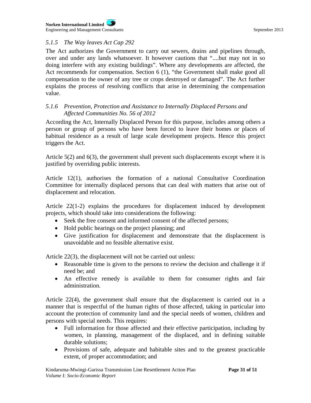# *5.1.5 The Way leaves Act Cap 292*

The Act authorizes the Government to carry out sewers, drains and pipelines through, over and under any lands whatsoever. It however cautions that "....but may not in so doing interfere with any existing buildings". Where any developments are affected, the Act recommends for compensation. Section 6 (1), "the Government shall make good all compensation to the owner of any tree or crops destroyed or damaged". The Act further explains the process of resolving conflicts that arise in determining the compensation value.

# *5.1.6 Prevention, Protection and Assistance to Internally Displaced Persons and Affected Communities No. 56 of 2012*

According the Act, Internally Displaced Person for this purpose, includes among others a person or group of persons who have been forced to leave their homes or places of habitual residence as a result of large scale development projects. Hence this project triggers the Act.

Article 5(2) and 6(3), the government shall prevent such displacements except where it is justified by overriding public interests.

Article 12(1), authorises the formation of a national Consultative Coordination Committee for internally displaced persons that can deal with matters that arise out of displacement and relocation.

Article 22(1-2) explains the procedures for displacement induced by development projects, which should take into considerations the following:

- Seek the free consent and informed consent of the affected persons;
- Hold public hearings on the project planning; and
- Give justification for displacement and demonstrate that the displacement is unavoidable and no feasible alternative exist.

Article 22(3), the displacement will not be carried out unless:

- Reasonable time is given to the persons to review the decision and challenge it if need be; and
- An effective remedy is available to them for consumer rights and fair administration.

Article 22(4), the government shall ensure that the displacement is carried out in a manner that is respectful of the human rights of those affected, taking in particular into account the protection of community land and the special needs of women, children and persons with special needs. This requires:

- Full information for those affected and their effective participation, including by women, in planning, management of the displaced, and in defining suitable durable solutions;
- Provisions of safe, adequate and habitable sites and to the greatest practicable extent, of proper accommodation; and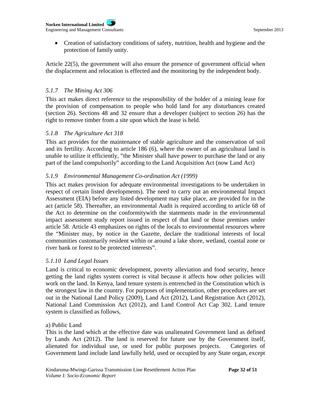#### **Norken International Limited** Engineering and Management Consultants September 2013

 Creation of satisfactory conditions of safety, nutrition, health and hygiene and the protection of family unity.

Article 22(5), the government will also ensure the presence of government official when the displacement and relocation is effected and the monitoring by the independent body.

# *5.1.7 The Mining Act 306*

This act makes direct reference to the responsibility of the holder of a mining lease for the provision of compensation to people who hold land for any disturbances created (section 26). Sections 48 and 32 ensure that a developer (subject to section 26) has the right to remove timber from a site upon which the lease is held.

### *5.1.8 The Agriculture Act 318*

This act provides for the maintenance of stable agriculture and the conservation of soil and its fertility. According to article 186 (6), where the owner of an agricultural land is unable to utilize it efficiently, "the Minister shall have power to purchase the land or any part of the land compulsorily" according to the Land Acquisition Act (now Land Act)

# *5.1.9 Environmental Management Co-ordination Act (1999)*

This act makes provision for adequate environmental investigations to be undertaken in respect of certain listed developments). The need to carry out an environmental Impact Assessment (EIA) before any listed development may take place, are provided for in the act (article 58). Thereafter, an environmental Audit is required according to article 68 of the Act to determine on the conformitywith the statements made in the environmental impact assessment study report issued in respect of that land or those premises under article 58. Article 43 emphasizes on rights of the locals to environmental resources where the "Minister may, by notice in the Gazette, declare the traditional interests of local communities customarily resident within or around a lake shore, wetland, coastal zone or river bank or forest to be protected interests".

# *5.1.10 Land Legal Issues*

Land is critical to economic development, poverty alleviation and food security, hence getting the land rights system correct is vital because it affects how other policies will work on the land. In Kenya, land tenure system is entrenched in the Constitution which is the strongest law in the country. For purposes of implementation, other procedures are set out in the National Land Policy (2009), Land Act (2012), Land Registration Act (2012), National Land Commission Act (2012), and Land Control Act Cap 302. Land tenure system is classified as follows,

# a) Public Land

This is the land which at the effective date was unalienated Government land as defined by Lands Act (2012). The land is reserved for future use by the Government itself, alienated for individual use, or used for public purposes projects. Categories of Government land include land lawfully held, used or occupied by any State organ, except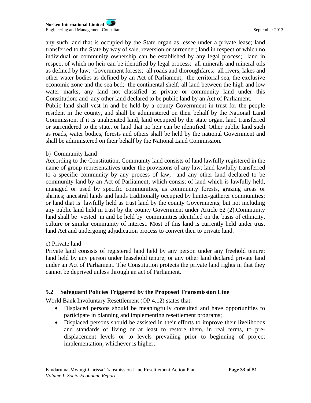any such land that is occupied by the State organ as lessee under a private lease; land transferred to the State by way of sale, reversion or surrender; land in respect of which no individual or community ownership can be established by any legal process; land in respect of which no heir can be identified by legal process; all minerals and mineral oils as defined by law; Government forests; all roads and thoroughfares; all rivers, lakes and other water bodies as defined by an Act of Parliament; the territorial sea, the exclusive economic zone and the sea bed; the continental shelf; all land between the high and low water marks; any land not classified as private or community land under this Constitution; and any other land declared to be public land by an Act of Parliament. Public land shall vest in and be held by a county Government in trust for the people resident in the county, and shall be administered on their behalf by the National Land Commission, if it is unalienated land, land occupied by the state organ, land transferred or surrendered to the state, or land that no heir can be identified. Other public land such as roads, water bodies, forests and others shall be held by the national Government and shall be administered on their behalf by the National Land Commission.

### b) Community Land

According to the Constitution, Community land consists of land lawfully registered in the name of group representatives under the provisions of any law; land lawfully transferred to a specific community by any process of law; and any other land declared to be community land by an Act of Parliament; which consist of land which is lawfully held, managed or used by specific communities, as community forests, grazing areas or shrines; ancestral lands and lands traditionally occupied by hunter-gatherer communities; or land that is lawfully held as trust land by the county Governments, but not including any public land held in trust by the county Government under Article 62 (2).Community land shall be vested in and be held by communities identified on the basis of ethnicity, culture or similar community of interest. Most of this land is currently held under trust land Act and undergoing adjudication process to convert then to private land.

#### c) Private land

Private land consists of registered land held by any person under any freehold tenure; land held by any person under leasehold tenure; or any other land declared private land under an Act of Parliament. The Constitution protects the private land rights in that they cannot be deprived unless through an act of Parliament.

### **5.2 Safeguard Policies Triggered by the Proposed Transmission Line**

World Bank Involuntary Resettlement (OP 4.12) states that:

- Displaced persons should be meaningfully consulted and have opportunities to participate in planning and implementing resettlement programs;
- Displaced persons should be assisted in their efforts to improve their livelihoods and standards of living or at least to restore them, in real terms, to predisplacement levels or to levels prevailing prior to beginning of project implementation, whichever is higher;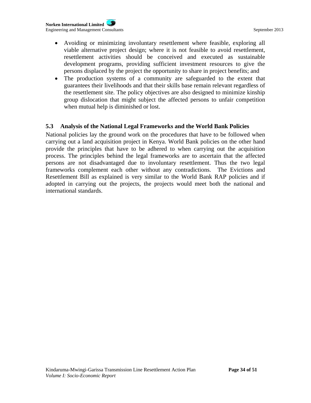- Avoiding or minimizing involuntary resettlement where feasible, exploring all viable alternative project design; where it is not feasible to avoid resettlement, resettlement activities should be conceived and executed as sustainable development programs, providing sufficient investment resources to give the persons displaced by the project the opportunity to share in project benefits; and
- The production systems of a community are safeguarded to the extent that guarantees their livelihoods and that their skills base remain relevant regardless of the resettlement site. The policy objectives are also designed to minimize kinship group dislocation that might subject the affected persons to unfair competition when mutual help is diminished or lost.

### **5.3 Analysis of the National Legal Frameworks and the World Bank Policies**

National policies lay the ground work on the procedures that have to be followed when carrying out a land acquisition project in Kenya. World Bank policies on the other hand provide the principles that have to be adhered to when carrying out the acquisition process. The principles behind the legal frameworks are to ascertain that the affected persons are not disadvantaged due to involuntary resettlement. Thus the two legal frameworks complement each other without any contradictions. The Evictions and Resettlement Bill as explained is very similar to the World Bank RAP policies and if adopted in carrying out the projects, the projects would meet both the national and international standards.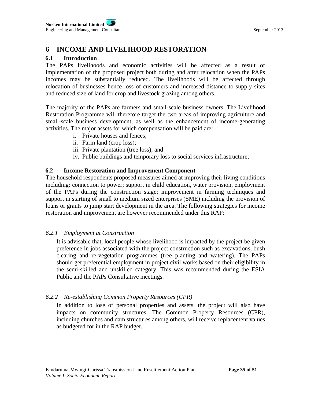# **6 INCOME AND LIVELIHOOD RESTORATION**

# **6.1 Introduction**

The PAPs livelihoods and economic activities will be affected as a result of implementation of the proposed project both during and after relocation when the PAPs incomes may be substantially reduced. The livelihoods will be affected through relocation of businesses hence loss of customers and increased distance to supply sites and reduced size of land for crop and livestock grazing among others.

The majority of the PAPs are farmers and small-scale business owners. The Livelihood Restoration Programme will therefore target the two areas of improving agriculture and small-scale business development, as well as the enhancement of income-generating activities. The major assets for which compensation will be paid are:

- i. Private houses and fences;
- ii. Farm land (crop loss);
- iii. Private plantation (tree loss); and
- iv. Public buildings and temporary loss to social services infrastructure;

### **6.2 Income Restoration and Improvement Component**

The household respondents proposed measures aimed at improving their living conditions including: connection to power; support in child education, water provision, employment of the PAPs during the construction stage; improvement in farming techniques and support in starting of small to medium sized enterprises (SME) including the provision of loans or grants to jump start development in the area. The following strategies for income restoration and improvement are however recommended under this RAP:

### *6.2.1 Employment at Construction*

It is advisable that, local people whose livelihood is impacted by the project be given preference in jobs associated with the project construction such as excavations, bush clearing and re-vegetation programmes (tree planting and watering). The PAPs should get preferential employment in project civil works based on their eligibility in the semi-skilled and unskilled category. This was recommended during the ESIA Public and the PAPs Consultative meetings.

# *6.2.2 Re-establishing Common Property Resources (CPR)*

In addition to lose of personal properties and assets, the project will also have impacts on community structures. The Common Property Resources **(**CPR), including churches and dam structures among others, will receive replacement values as budgeted for in the RAP budget.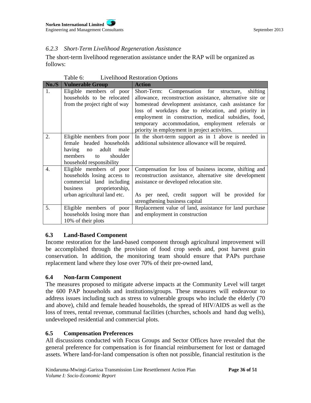# *6.2.3 Short-Term Livelihood Regeneration Assistance*

The short-term livelihood regeneration assistance under the RAP will be organized as follows:

| No.S             | <b>Vulnerable Group</b>                                                                                                                            | <b>Action</b>                                                                                                                                                                                                                                                                                                                                                                                 |
|------------------|----------------------------------------------------------------------------------------------------------------------------------------------------|-----------------------------------------------------------------------------------------------------------------------------------------------------------------------------------------------------------------------------------------------------------------------------------------------------------------------------------------------------------------------------------------------|
| 1.               | Eligible members of poor<br>households to be relocated<br>from the project right of way                                                            | Short-Term: Compensation for structure,<br>shifting<br>allowance, reconstruction assistance, alternative site or<br>homestead development assistance, cash assistance for<br>loss of workdays due to relocation, and priority in<br>employment in construction, medical subsidies, food,<br>temporary accommodation, employment referrals or<br>priority in employment in project activities. |
| 2.               | Eligible members from poor<br>female headed households<br>having no adult male<br>members<br>shoulder<br>$\mathsf{to}$<br>household responsibility | In the short-term support as in 1 above is needed in<br>additional subsistence allowance will be required.                                                                                                                                                                                                                                                                                    |
| $\overline{4}$ . | Eligible members of poor<br>households losing access to<br>commercial land including<br>business proprietorship,<br>urban agricultural land etc.   | Compensation for loss of business income, shifting and<br>reconstruction assistance, alternative site development<br>assistance or developed relocation site.<br>As per need, credit support will be provided for<br>strengthening business capital                                                                                                                                           |
| 5.               | Eligible members of poor<br>households losing more than<br>10% of their plots                                                                      | Replacement value of land, assistance for land purchase<br>and employment in construction                                                                                                                                                                                                                                                                                                     |

Table 6: Livelihood Restoration Options

# **6.3 Land**‐**Based Component**

Income restoration for the land-based component through agricultural improvement will be accomplished through the provision of food crop seeds and, post harvest grain conservation. In addition, the monitoring team should ensure that PAPs purchase replacement land where they lose over 70% of their pre-owned land,

# **6.4 Non**‐**farm Component**

The measures proposed to mitigate adverse impacts at the Community Level will target the 600 PAP households and institutions/groups. These measures will endeavour to address issues including such as stress to vulnerable groups who include the elderly (70 and above), child and female headed households, the spread of HIV/AIDS as well as the loss of trees, rental revenue, communal facilities (churches, schools and hand dug wells), undeveloped residential and commercial plots.

# **6.5 Compensation Preferences**

All discussions conducted with Focus Groups and Sector Offices have revealed that the general preference for compensation is for financial reimbursement for lost or damaged assets. Where land-for-land compensation is often not possible, financial restitution is the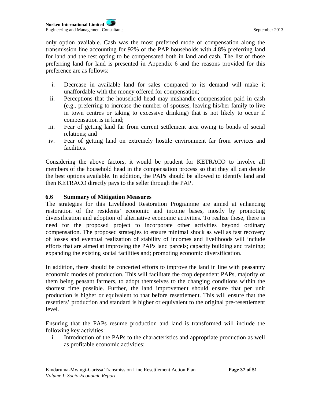only option available. Cash was the most preferred mode of compensation along the transmission line accounting for 92% of the PAP households with 4.8% preferring land for land and the rest opting to be compensated both in land and cash. The list of those preferring land for land is presented in Appendix 6 and the reasons provided for this preference are as follows:

- i. Decrease in available land for sales compared to its demand will make it unaffordable with the money offered for compensation;
- ii. Perceptions that the household head may mishandle compensation paid in cash (e.g., preferring to increase the number of spouses, leaving his/her family to live in town centres or taking to excessive drinking) that is not likely to occur if compensation is in kind;
- iii. Fear of getting land far from current settlement area owing to bonds of social relations; and
- iv. Fear of getting land on extremely hostile environment far from services and facilities.

Considering the above factors, it would be prudent for KETRACO to involve all members of the household head in the compensation process so that they all can decide the best options available. In addition, the PAPs should be allowed to identify land and then KETRACO directly pays to the seller through the PAP.

### **6.6 Summary of Mitigation Measures**

The strategies for this Livelihood Restoration Programme are aimed at enhancing restoration of the residents' economic and income bases, mostly by promoting diversification and adoption of alternative economic activities. To realize these, there is need for the proposed project to incorporate other activities beyond ordinary compensation. The proposed strategies to ensure minimal shock as well as fast recovery of losses and eventual realization of stability of incomes and livelihoods will include efforts that are aimed at improving the PAPs land parcels; capacity building and training; expanding the existing social facilities and; promoting economic diversification.

In addition, there should be concerted efforts to improve the land in line with peasantry economic modes of production. This will facilitate the crop dependent PAPs, majority of them being peasant farmers, to adopt themselves to the changing conditions within the shortest time possible. Further, the land improvement should ensure that per unit production is higher or equivalent to that before resettlement. This will ensure that the resettlers' production and standard is higher or equivalent to the original pre-resettlement level.

Ensuring that the PAPs resume production and land is transformed will include the following key activities:

i. Introduction of the PAPs to the characteristics and appropriate production as well as profitable economic activities;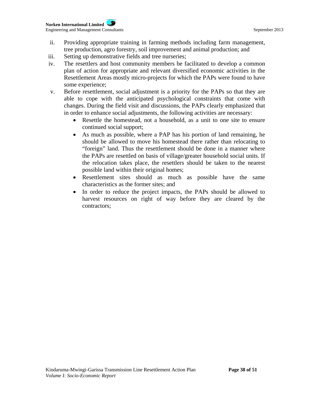- ii. Providing appropriate training in farming methods including farm management, tree production, agro forestry, soil improvement and animal production; and
- iii. Setting up demonstrative fields and tree nurseries;
- iv. The resettlers and host community members be facilitated to develop a common plan of action for appropriate and relevant diversified economic activities in the Resettlement Areas mostly micro-projects for which the PAPs were found to have some experience;
- v. Before resettlement, social adjustment is a priority for the PAPs so that they are able to cope with the anticipated psychological constraints that come with changes. During the field visit and discussions, the PAPs clearly emphasized that in order to enhance social adjustments, the following activities are necessary:
	- Resettle the homestead, not a household, as a unit to one site to ensure continued social support;
	- As much as possible, where a PAP has his portion of land remaining, he should be allowed to move his homestead there rather than relocating to "foreign" land. Thus the resettlement should be done in a manner where the PAPs are resettled on basis of village/greater household social units. If the relocation takes place, the resettlers should be taken to the nearest possible land within their original homes;
	- Resettlement sites should as much as possible have the same characteristics as the former sites; and
	- In order to reduce the project impacts, the PAPs should be allowed to harvest resources on right of way before they are cleared by the contractors;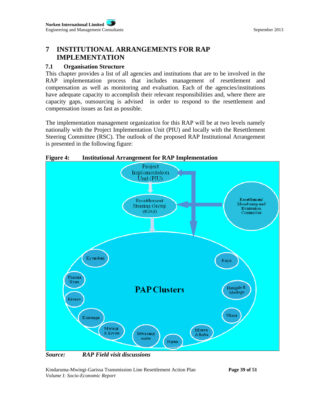# **7 INSTITUTIONAL ARRANGEMENTS FOR RAP IMPLEMENTATION**

# **7.1 Organisation Structure**

This chapter provides a list of all agencies and institutions that are to be involved in the RAP implementation process that includes management of resettlement and compensation as well as monitoring and evaluation. Each of the agencies/institutions have adequate capacity to accomplish their relevant responsibilities and, where there are capacity gaps, outsourcing is advised in order to respond to the resettlement and compensation issues as fast as possible.

The implementation management organization for this RAP will be at two levels namely nationally with the Project Implementation Unit (PIU) and locally with the Resettlement Steering Committee (RSC). The outlook of the proposed RAP Institutional Arrangement is presented in the following figure:



**Figure 4: Institutional Arrangement for RAP Implementation** 

*Source: RAP Field visit discussions*

Kindaruma-Mwingi-Garissa Transmission Line Resettlement Action Plan **Page 39 of 51**  *Volume I: Socio-Economic Report*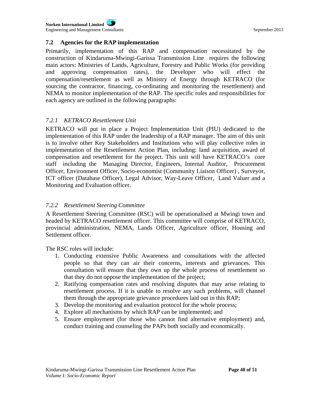**Norken International Limited** Engineering and Management Consultants September 2013

### **7.2 Agencies for the RAP implementation**

Primarily, implementation of this RAP and compensation necessitated by the construction of Kindaruma-Mwingi-Garissa Transmission Line requires the following main actors: Ministries of Lands, Agriculture, Forestry and Public Works (for providing and approving compensation rates), the Developer who will effect the compensation/resettlement as well as Ministry of Energy through KETRACO (for sourcing the contractor, financing, co-ordinating and monitoring the resettlement) and NEMA to monitor implementation of the RAP. The specific roles and responsibilities for each agency are outlined in the following paragraphs:

### *7.2.1 KETRACO Resettlement Unit*

KETRACO will put in place a Project Implementation Unit (PIU) dedicated to the implementation of this RAP under the leadership of a RAP manager. The aim of this unit is to involve other Key Stakeholders and Institutions who will play collective roles in implementation of the Resettlement Action Plan, including: land acquisition, award of compensation and resettlement for the project. This unit will have KETRACO's core staff including the Managing Director, Engineers, Internal Auditor, Procurement Officer, Environment Officer, Socio-economist (Community Liaison Officer) , Surveyor, ICT officer (Database Officer), Legal Advisor, Way-Leave Officer, Land Valuer and a Monitoring and Evaluation officer.

### *7.2.2 Resettlement Steering Committee*

A Resettlement Steering Committee (RSC) will be operationalised at Mwingi town and headed by KETRACO resettlement officer. This committee will comprise of KETRACO, provincial administration, NEMA, Lands Officer, Agriculture officer, Housing and Settlement officer.

The RSC roles will include:

- 1. Conducting extensive Public Awareness and consultations with the affected people so that they can air their concerns, interests and grievances. This consultation will ensure that they own up the whole process of resettlement so that they do not oppose the implementation of the project;
- 2. Ratifying compensation rates and resolving disputes that may arise relating to resettlement process. If it is unable to resolve any such problems, will channel them through the appropriate grievance procedures laid out in this RAP;
- 3. Develop the monitoring and evaluation protocol for the whole process;
- 4. Explore all mechanisms by which RAP can be implemented; and
- 5. Ensure employment (for those who cannot find alternative employment) and, conduct training and counseling the PAPs both socially and economically.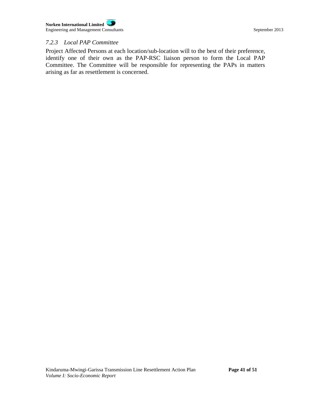### *7.2.3 Local PAP Committee*

Project Affected Persons at each location/sub-location will to the best of their preference, identify one of their own as the PAP-RSC liaison person to form the Local PAP Committee. The Committee will be responsible for representing the PAPs in matters arising as far as resettlement is concerned.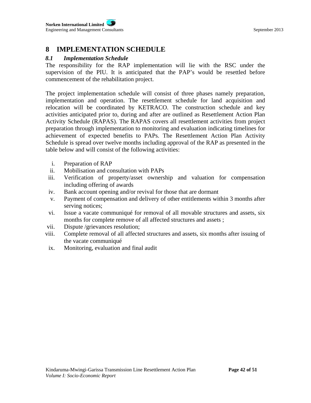# **8 IMPLEMENTATION SCHEDULE**

### *8.1 Implementation Schedule*

The responsibility for the RAP implementation will lie with the RSC under the supervision of the PIU. It is anticipated that the PAP's would be resettled before commencement of the rehabilitation project.

The project implementation schedule will consist of three phases namely preparation, implementation and operation. The resettlement schedule for land acquisition and relocation will be coordinated by KETRACO. The construction schedule and key activities anticipated prior to, during and after are outlined as Resettlement Action Plan Activity Schedule (RAPAS). The RAPAS covers all resettlement activities from project preparation through implementation to monitoring and evaluation indicating timelines for achievement of expected benefits to PAPs. The Resettlement Action Plan Activity Schedule is spread over twelve months including approval of the RAP as presented in the table below and will consist of the following activities:

- i. Preparation of RAP
- ii. Mobilisation and consultation with PAPs
- iii. Verification of property/asset ownership and valuation for compensation including offering of awards
- iv. Bank account opening and/or revival for those that are dormant
- v. Payment of compensation and delivery of other entitlements within 3 months after serving notices;
- vi. Issue a vacate communiqué for removal of all movable structures and assets, six months for complete remove of all affected structures and assets ;
- vii. Dispute /grievances resolution;
- viii. Complete removal of all affected structures and assets, six months after issuing of the vacate communiqué
- ix. Monitoring, evaluation and final audit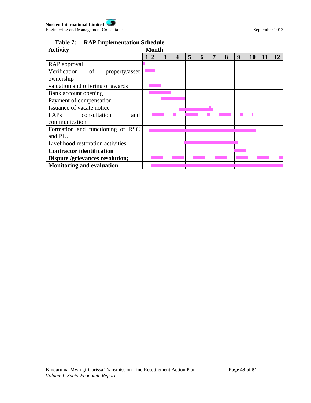# **Table 7: RAP Implementation Schedule**

| <b>Activity</b>                                 |  | <b>Month</b>   |   |   |   |   |  |   |   |    |    |    |
|-------------------------------------------------|--|----------------|---|---|---|---|--|---|---|----|----|----|
|                                                 |  | $\overline{2}$ | 3 | 4 | 5 | h |  | 8 | 9 | 10 | 11 | 12 |
| RAP approval                                    |  |                |   |   |   |   |  |   |   |    |    |    |
| Verification<br><sub>of</sub><br>property/asset |  |                |   |   |   |   |  |   |   |    |    |    |
| ownership                                       |  |                |   |   |   |   |  |   |   |    |    |    |
| valuation and offering of awards                |  |                |   |   |   |   |  |   |   |    |    |    |
| Bank account opening                            |  |                |   |   |   |   |  |   |   |    |    |    |
| Payment of compensation                         |  |                |   |   |   |   |  |   |   |    |    |    |
| Issuance of vacate notice                       |  |                |   |   |   |   |  |   |   |    |    |    |
| <b>PAPs</b><br>consultation<br>and              |  |                |   |   |   |   |  |   |   |    |    |    |
| communication                                   |  |                |   |   |   |   |  |   |   |    |    |    |
| Formation and functioning of RSC                |  |                |   |   |   |   |  |   |   |    |    |    |
| and PIU                                         |  |                |   |   |   |   |  |   |   |    |    |    |
| Livelihood restoration activities               |  |                |   |   |   |   |  |   |   |    |    |    |
| <b>Contractor identification</b>                |  |                |   |   |   |   |  |   |   |    |    |    |
| Dispute /grievances resolution;                 |  |                |   |   |   |   |  |   |   |    |    |    |
| <b>Monitoring and evaluation</b>                |  |                |   |   |   |   |  |   |   |    |    |    |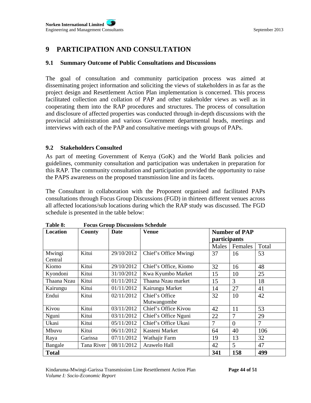# **9 PARTICIPATION AND CONSULTATION**

### **9.1 Summary Outcome of Public Consultations and Discussions**

The goal of consultation and community participation process was aimed at disseminating project information and soliciting the views of stakeholders in as far as the project design and Resettlement Action Plan implementation is concerned. This process facilitated collection and collation of PAP and other stakeholder views as well as in cooperating them into the RAP procedures and structures. The process of consultation and disclosure of affected properties was conducted through in-depth discussions with the provincial administration and various Government departmental heads, meetings and interviews with each of the PAP and consultative meetings with groups of PAPs.

### **9.2 Stakeholders Consulted**

As part of meeting Government of Kenya (GoK) and the World Bank policies and guidelines, community consultation and participation was undertaken in preparation for this RAP. The community consultation and participation provided the opportunity to raise the PAPS awareness on the proposed transmission line and its facets.

The Consultant in collaboration with the Proponent organised and facilitated PAPs consultations through Focus Group Discussions (FGD) in thirteen different venues across all affected locations/sub locations during which the RAP study was discussed. The FGD schedule is presented in the table below:

| Location          | County     | Date       | <b>Venue</b>                  | <b>Number of PAP</b><br><i>participants</i> |                |       |
|-------------------|------------|------------|-------------------------------|---------------------------------------------|----------------|-------|
|                   |            |            |                               | Males                                       | Females        | Total |
| Mwingi<br>Central | Kitui      | 29/10/2012 | Chief's Office Mwingi         | 37                                          | 16             | 53    |
| Kiomo             | Kitui      | 29/10/2012 | Chief's Office, Kiomo         | 32                                          | 16             | 48    |
| Kyondoni          | Kitui      | 31/10/2012 | Kwa Kyumbo Market             | 15                                          | 10             | 25    |
| Thaana Nzau       | Kitui      | 01/11/2012 | Thaana Nzau market            | 15                                          | 3              | 18    |
| Kairungu          | Kitui      | 01/11/2012 | Kairungu Market               | 14                                          | 27             | 41    |
| Endui             | Kitui      | 02/11/2012 | Chief's Office<br>Mutwangombe | 32                                          | 10             | 42    |
| Kivou             | Kitui      | 03/11/2012 | Chief's Office Kivou          | 42                                          | 11             | 53    |
| Nguni             | Kitui      | 03/11/2012 | Chief's Office Nguni          | 22                                          | $\overline{7}$ | 29    |
| Ukasi             | Kitui      | 05/11/2012 | Chief's Office Ukasi          | 7                                           | $\Omega$       | 7     |
| Kitui<br>Mbuvu    |            | 06/11/2012 | Kasteni Market                | 64                                          | 40             | 106   |
| Raya              | Garissa    | 07/11/2012 | Wathajir Farm                 | 19                                          | 13             | 32    |
| Bangale           | Tana River | 08/11/2012 | Arawelo Hall                  | 42                                          | 5              | 47    |
| <b>Total</b>      |            |            |                               | 341                                         | 158            | 499   |

**Table 8: Focus Group Discussions Schedule**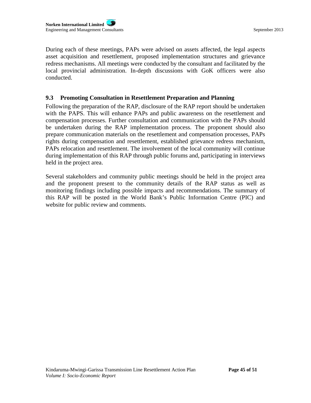During each of these meetings, PAPs were advised on assets affected, the legal aspects asset acquisition and resettlement, proposed implementation structures and grievance redress mechanisms. All meetings were conducted by the consultant and facilitated by the local provincial administration. In-depth discussions with GoK officers were also conducted.

### **9.3 Promoting Consultation in Resettlement Preparation and Planning**

Following the preparation of the RAP, disclosure of the RAP report should be undertaken with the PAPS. This will enhance PAPs and public awareness on the resettlement and compensation processes. Further consultation and communication with the PAPs should be undertaken during the RAP implementation process. The proponent should also prepare communication materials on the resettlement and compensation processes, PAPs rights during compensation and resettlement, established grievance redress mechanism, PAPs relocation and resettlement. The involvement of the local community will continue during implementation of this RAP through public forums and, participating in interviews held in the project area.

Several stakeholders and community public meetings should be held in the project area and the proponent present to the community details of the RAP status as well as monitoring findings including possible impacts and recommendations. The summary of this RAP will be posted in the World Bank's Public Information Centre (PIC) and website for public review and comments.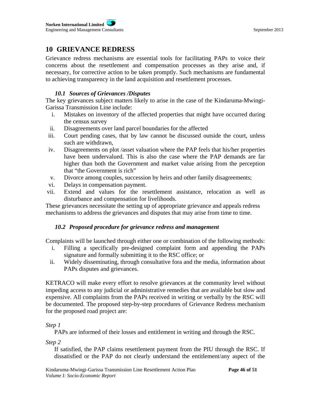# **10 GRIEVANCE REDRESS**

Grievance redress mechanisms are essential tools for facilitating PAPs to voice their concerns about the resettlement and compensation processes as they arise and, if necessary, for corrective action to be taken promptly. Such mechanisms are fundamental to achieving transparency in the land acquisition and resettlement processes.

# *10.1 Sources of Grievances /Disputes*

The key grievances subject matters likely to arise in the case of the Kindaruma-Mwingi-Garissa Transmission Line include:

- i. Mistakes on inventory of the affected properties that might have occurred during the census survey
- ii. Disagreements over land parcel boundaries for the affected
- iii. Court pending cases, that by law cannot be discussed outside the court, unless such are withdrawn,
- iv. Disagreements on plot /asset valuation where the PAP feels that his/her properties have been undervalued. This is also the case where the PAP demands are far higher than both the Government and market value arising from the perception that "the Government is rich"
- v. Divorce among couples, succession by heirs and other family disagreements;
- vi. Delays in compensation payment.
- vii. Extend and values for the resettlement assistance, relocation as well as disturbance and compensation for livelihoods.

These grievances necessitate the setting up of appropriate grievance and appeals redress mechanisms to address the grievances and disputes that may arise from time to time.

# *10.2 Proposed procedure for grievance redress and management*

Complaints will be launched through either one or combination of the following methods:

- i. Filling a specifically pre-designed complaint form and appending the PAPs signature and formally submitting it to the RSC office; or
- ii. Widely disseminating, through consultative fora and the media, information about PAPs disputes and grievances.

KETRACO will make every effort to resolve grievances at the community level without impeding access to any judicial or administrative remedies that are available but slow and expensive. All complaints from the PAPs received in writing or verbally by the RSC will be documented. The proposed step-by-step procedures of Grievance Redress mechanism for the proposed road project are:

### *Step 1*

PAPs are informed of their losses and entitlement in writing and through the RSC.

*Step 2* 

If satisfied, the PAP claims resettlement payment from the PIU through the RSC. If dissatisfied or the PAP do not clearly understand the entitlement/any aspect of the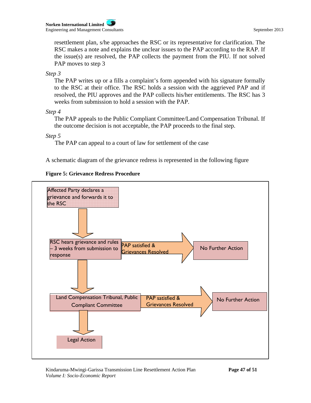resettlement plan, s/he approaches the RSC or its representative for clarification. The RSC makes a note and explains the unclear issues to the PAP according to the RAP. If the issue(s) are resolved, the PAP collects the payment from the PIU. If not solved PAP moves to step 3

*Step 3* 

The PAP writes up or a fills a complaint's form appended with his signature formally to the RSC at their office. The RSC holds a session with the aggrieved PAP and if resolved, the PIU approves and the PAP collects his/her entitlements. The RSC has 3 weeks from submission to hold a session with the PAP.

*Step 4* 

The PAP appeals to the Public Compliant Committee/Land Compensation Tribunal. If the outcome decision is not acceptable, the PAP proceeds to the final step.

*Step 5* 

The PAP can appeal to a court of law for settlement of the case

A schematic diagram of the grievance redress is represented in the following figure



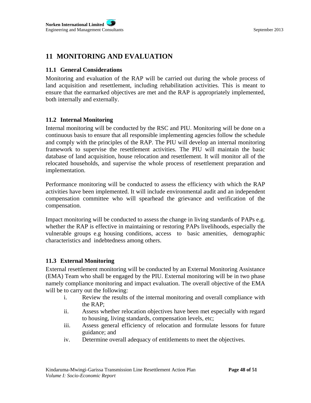# **11 MONITORING AND EVALUATION**

### **11.1 General Considerations**

Monitoring and evaluation of the RAP will be carried out during the whole process of land acquisition and resettlement, including rehabilitation activities. This is meant to ensure that the earmarked objectives are met and the RAP is appropriately implemented, both internally and externally.

### **11.2 Internal Monitoring**

Internal monitoring will be conducted by the RSC and PIU. Monitoring will be done on a continuous basis to ensure that all responsible implementing agencies follow the schedule and comply with the principles of the RAP. The PIU will develop an internal monitoring framework to supervise the resettlement activities. The PIU will maintain the basic database of land acquisition, house relocation and resettlement. It will monitor all of the relocated households, and supervise the whole process of resettlement preparation and implementation.

Performance monitoring will be conducted to assess the efficiency with which the RAP activities have been implemented. It will include environmental audit and an independent compensation committee who will spearhead the grievance and verification of the compensation.

Impact monitoring will be conducted to assess the change in living standards of PAPs e.g. whether the RAP is effective in maintaining or restoring PAPs livelihoods, especially the vulnerable groups e.g housing conditions, access to basic amenities, demographic characteristics and indebtedness among others.

### **11.3 External Monitoring**

External resettlement monitoring will be conducted by an External Monitoring Assistance (EMA) Team who shall be engaged by the PIU. External monitoring will be in two phase namely compliance monitoring and impact evaluation. The overall objective of the EMA will be to carry out the following:

- i. Review the results of the internal monitoring and overall compliance with the RAP;
- ii. Assess whether relocation objectives have been met especially with regard to housing, living standards, compensation levels, etc;
- iii. Assess general efficiency of relocation and formulate lessons for future guidance; and
- iv. Determine overall adequacy of entitlements to meet the objectives.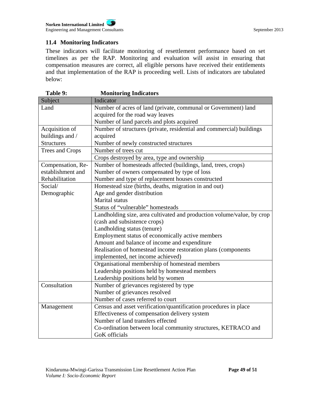# **11.4 Monitoring Indicators**

These indicators will facilitate monitoring of resettlement performance based on set timelines as per the RAP. Monitoring and evaluation will assist in ensuring that compensation measures are correct, all eligible persons have received their entitlements and that implementation of the RAP is proceeding well. Lists of indicators are tabulated below:

| Table 9:          | <b>Monitoring Indicators</b>                                           |  |  |  |  |  |
|-------------------|------------------------------------------------------------------------|--|--|--|--|--|
| Subject           | Indicator                                                              |  |  |  |  |  |
| Land              | Number of acres of land (private, communal or Government) land         |  |  |  |  |  |
|                   | acquired for the road way leaves                                       |  |  |  |  |  |
|                   | Number of land parcels and plots acquired                              |  |  |  |  |  |
| Acquisition of    | Number of structures (private, residential and commercial) buildings   |  |  |  |  |  |
| buildings and /   | acquired                                                               |  |  |  |  |  |
| <b>Structures</b> | Number of newly constructed structures                                 |  |  |  |  |  |
| Trees and Crops   | Number of trees cut                                                    |  |  |  |  |  |
|                   | Crops destroyed by area, type and ownership                            |  |  |  |  |  |
| Compensation, Re- | Number of homesteads affected (buildings, land, trees, crops)          |  |  |  |  |  |
| establishment and | Number of owners compensated by type of loss                           |  |  |  |  |  |
| Rehabilitation    | Number and type of replacement houses constructed                      |  |  |  |  |  |
| Social/           | Homestead size (births, deaths, migration in and out)                  |  |  |  |  |  |
| Demographic       | Age and gender distribution                                            |  |  |  |  |  |
|                   | <b>Marital</b> status                                                  |  |  |  |  |  |
|                   | Status of "vulnerable" homesteads                                      |  |  |  |  |  |
|                   | Landholding size, area cultivated and production volume/value, by crop |  |  |  |  |  |
|                   | (cash and subsistence crops)                                           |  |  |  |  |  |
|                   | Landholding status (tenure)                                            |  |  |  |  |  |
|                   | Employment status of economically active members                       |  |  |  |  |  |
|                   | Amount and balance of income and expenditure                           |  |  |  |  |  |
|                   | Realisation of homestead income restoration plans (components          |  |  |  |  |  |
|                   | implemented, net income achieved)                                      |  |  |  |  |  |
|                   | Organisational membership of homestead members                         |  |  |  |  |  |
|                   | Leadership positions held by homestead members                         |  |  |  |  |  |
|                   | Leadership positions held by women                                     |  |  |  |  |  |
| Consultation      | Number of grievances registered by type                                |  |  |  |  |  |
|                   | Number of grievances resolved                                          |  |  |  |  |  |
|                   | Number of cases referred to court                                      |  |  |  |  |  |
| Management        | Census and asset verification/quantification procedures in place       |  |  |  |  |  |
|                   | Effectiveness of compensation delivery system                          |  |  |  |  |  |
|                   | Number of land transfers effected                                      |  |  |  |  |  |
|                   | Co-ordination between local community structures, KETRACO and          |  |  |  |  |  |
|                   | GoK officials                                                          |  |  |  |  |  |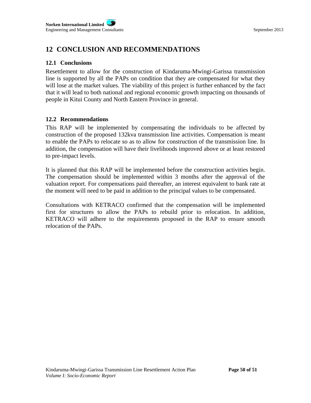# **12 CONCLUSION AND RECOMMENDATIONS**

### **12.1 Conclusions**

Resettlement to allow for the construction of Kindaruma-Mwingi-Garissa transmission line is supported by all the PAPs on condition that they are compensated for what they will lose at the market values. The viability of this project is further enhanced by the fact that it will lead to both national and regional economic growth impacting on thousands of people in Kitui County and North Eastern Province in general.

### **12.2 Recommendations**

This RAP will be implemented by compensating the individuals to be affected by construction of the proposed 132kva transmission line activities. Compensation is meant to enable the PAPs to relocate so as to allow for construction of the transmission line. In addition, the compensation will have their livelihoods improved above or at least restored to pre-impact levels.

It is planned that this RAP will be implemented before the construction activities begin. The compensation should be implemented within 3 months after the approval of the valuation report. For compensations paid thereafter, an interest equivalent to bank rate at the moment will need to be paid in addition to the principal values to be compensated.

Consultations with KETRACO confirmed that the compensation will be implemented first for structures to allow the PAPs to rebuild prior to relocation. In addition, KETRACO will adhere to the requirements proposed in the RAP to ensure smooth relocation of the PAPs.